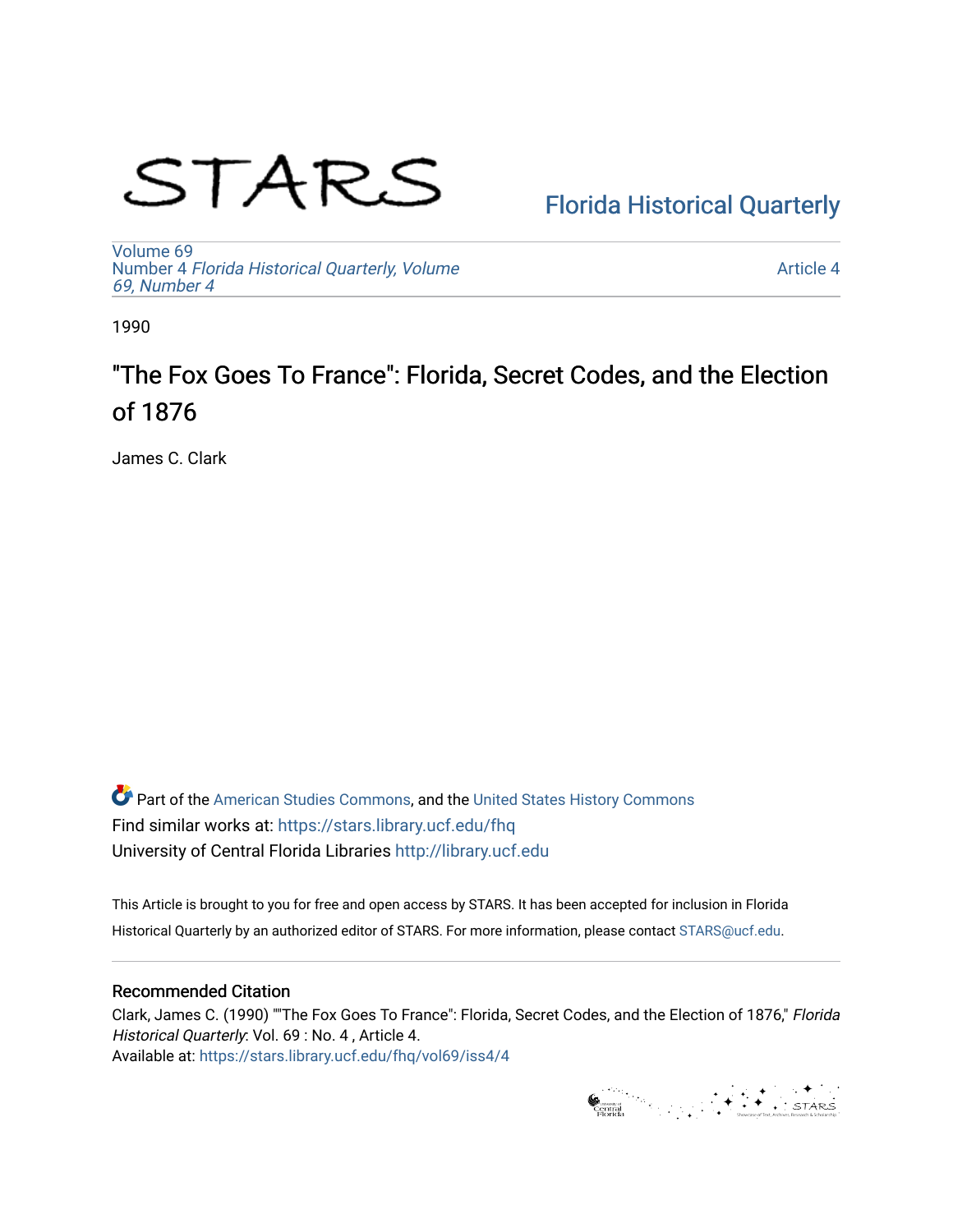# STARS

# [Florida Historical Quarterly](https://stars.library.ucf.edu/fhq)

[Volume 69](https://stars.library.ucf.edu/fhq/vol69) Number 4 [Florida Historical Quarterly, Volume](https://stars.library.ucf.edu/fhq/vol69/iss4)  [69, Number 4](https://stars.library.ucf.edu/fhq/vol69/iss4)

[Article 4](https://stars.library.ucf.edu/fhq/vol69/iss4/4) 

1990

# "The Fox Goes To France": Florida, Secret Codes, and the Election of 1876

James C. Clark

**C** Part of the [American Studies Commons](http://network.bepress.com/hgg/discipline/439?utm_source=stars.library.ucf.edu%2Ffhq%2Fvol69%2Fiss4%2F4&utm_medium=PDF&utm_campaign=PDFCoverPages), and the United States History Commons Find similar works at: <https://stars.library.ucf.edu/fhq> University of Central Florida Libraries [http://library.ucf.edu](http://library.ucf.edu/) 

This Article is brought to you for free and open access by STARS. It has been accepted for inclusion in Florida Historical Quarterly by an authorized editor of STARS. For more information, please contact [STARS@ucf.edu.](mailto:STARS@ucf.edu)

# Recommended Citation

Clark, James C. (1990) ""The Fox Goes To France": Florida, Secret Codes, and the Election of 1876," Florida Historical Quarterly: Vol. 69 : No. 4 , Article 4. Available at: [https://stars.library.ucf.edu/fhq/vol69/iss4/4](https://stars.library.ucf.edu/fhq/vol69/iss4/4?utm_source=stars.library.ucf.edu%2Ffhq%2Fvol69%2Fiss4%2F4&utm_medium=PDF&utm_campaign=PDFCoverPages) 

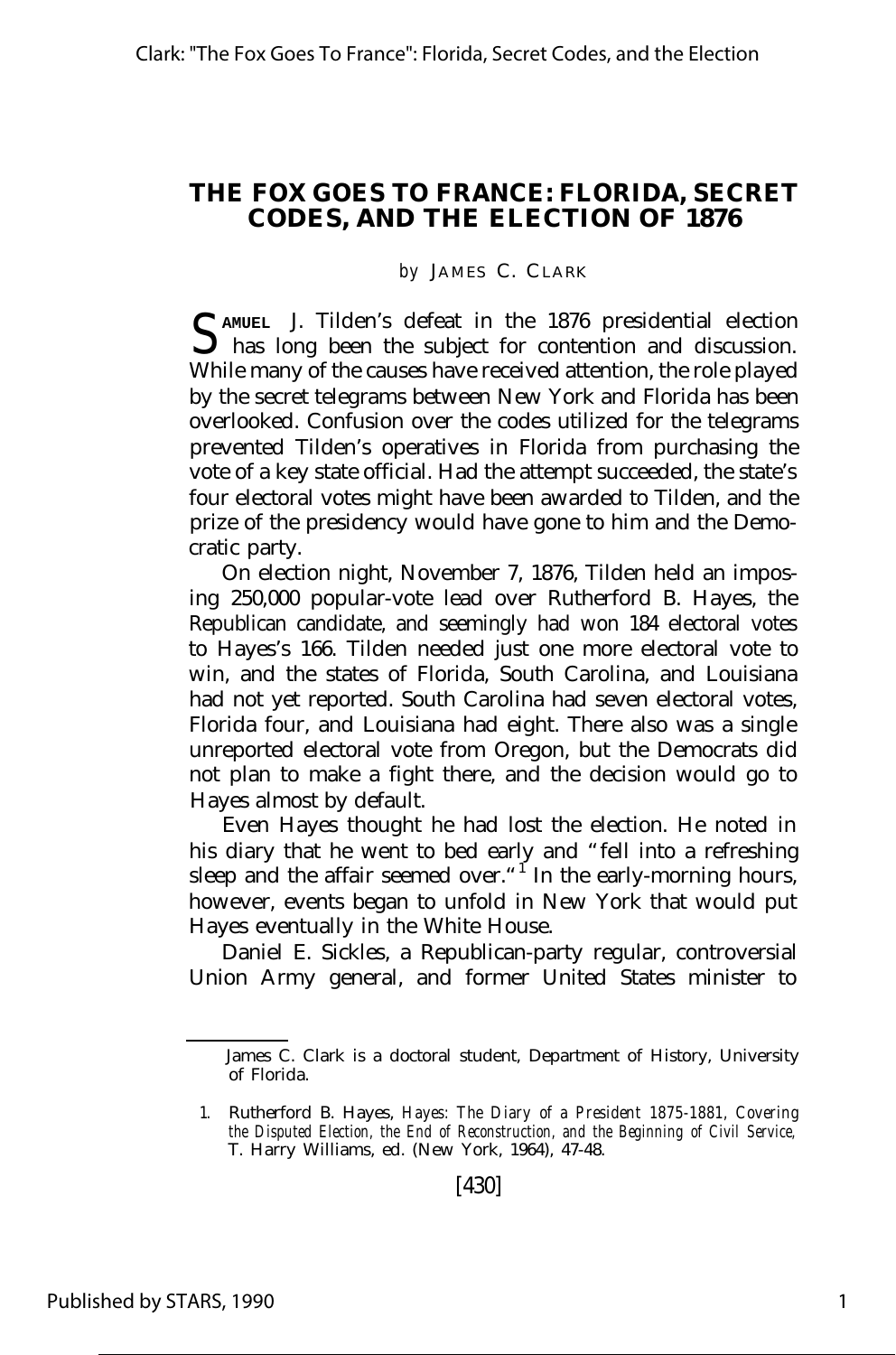## **THE FOX GOES TO FRANCE: FLORIDA, SECRET CODES, AND THE ELECTION OF 1876**

*by* JAMES C. CLARK

S AMUEL J. Tilden's defeat in the 1876 presidential election<br>S has long been the subject for contention and discussion. **AMUEL** J. Tilden's defeat in the 1876 presidential election While many of the causes have received attention, the role played by the secret telegrams between New York and Florida has been overlooked. Confusion over the codes utilized for the telegrams prevented Tilden's operatives in Florida from purchasing the vote of a key state official. Had the attempt succeeded, the state's four electoral votes might have been awarded to Tilden, and the prize of the presidency would have gone to him and the Democratic party.

On election night, November 7, 1876, Tilden held an imposing 250,000 popular-vote lead over Rutherford B. Hayes, the Republican candidate, and seemingly had won 184 electoral votes to Hayes's 166. Tilden needed just one more electoral vote to win, and the states of Florida, South Carolina, and Louisiana had not yet reported. South Carolina had seven electoral votes, Florida four, and Louisiana had eight. There also was a single unreported electoral vote from Oregon, but the Democrats did not plan to make a fight there, and the decision would go to Hayes almost by default.

Even Hayes thought he had lost the election. He noted in his diary that he went to bed early and "fell into a refreshing sleep and the affair seemed over."<sup>I</sup> In the early-morning hours, however, events began to unfold in New York that would put Hayes eventually in the White House.

Daniel E. Sickles, a Republican-party regular, controversial Union Army general, and former United States minister to

James C. Clark is a doctoral student, Department of History, University of Florida.

<sup>1.</sup> Rutherford B. Hayes, *Hayes: The Diary of a President 1875-1881, Covering the Disputed Election, the End of Reconstruction, and the Beginning of Civil Service,* T. Harry Williams, ed. (New York, 1964), 47-48.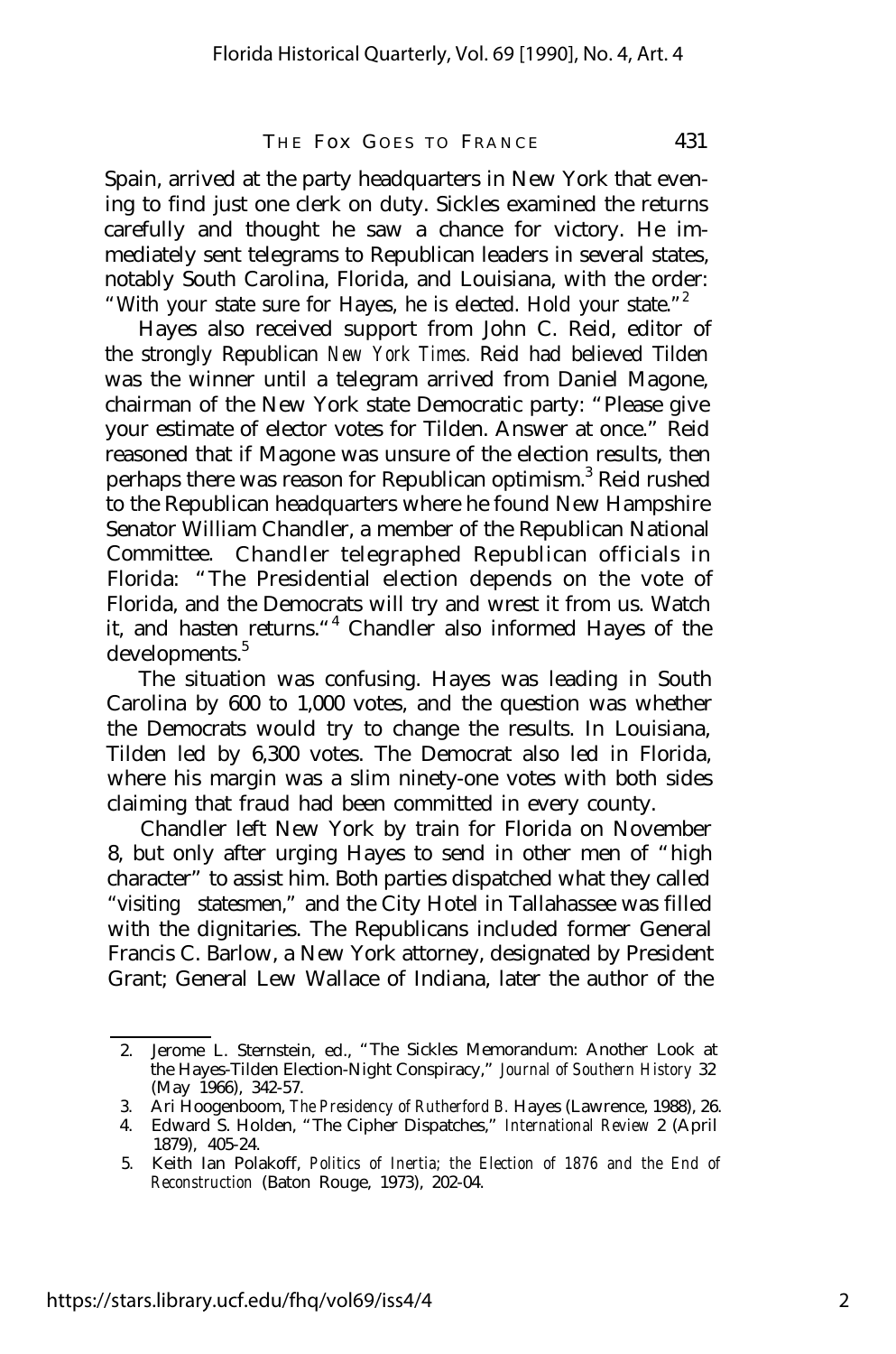Spain, arrived at the party headquarters in New York that evening to find just one clerk on duty. Sickles examined the returns carefully and thought he saw a chance for victory. He immediately sent telegrams to Republican leaders in several states, notably South Carolina, Florida, and Louisiana, with the order: "With your state sure for Hayes, he is elected. Hold your state."<sup>2</sup>

Hayes also received support from John C. Reid, editor of the strongly Republican *New York Times.* Reid had believed Tilden was the winner until a telegram arrived from Daniel Magone, chairman of the New York state Democratic party: "Please give your estimate of elector votes for Tilden. Answer at once." Reid reasoned that if Magone was unsure of the election results, then perhaps there was reason for Republican optimism.<sup>3</sup> Reid rushed to the Republican headquarters where he found New Hampshire Senator William Chandler, a member of the Republican National Committee. Chandler telegraphed Republican officials in Florida: "The Presidential election depends on the vote of Florida, and the Democrats will try and wrest it from us. Watch it, and hasten returns."<sup>4</sup> Chandler also informed Hayes of the developments.<sup>5</sup>

The situation was confusing. Hayes was leading in South Carolina by 600 to 1,000 votes, and the question was whether the Democrats would try to change the results. In Louisiana, Tilden led by 6,300 votes. The Democrat also led in Florida, where his margin was a slim ninety-one votes with both sides claiming that fraud had been committed in every county.

Chandler left New York by train for Florida on November 8, but only after urging Hayes to send in other men of "high character" to assist him. Both parties dispatched what they called "visiting statesmen," and the City Hotel in Tallahassee was filled with the dignitaries. The Republicans included former General Francis C. Barlow, a New York attorney, designated by President Grant; General Lew Wallace of Indiana, later the author of the

<sup>2.</sup> Jerome L. Sternstein, ed., "The Sickles Memorandum: Another Look at the Hayes-Tilden Election-Night Conspiracy," *Journal of Southern History* 32 (May 1966), 342-57.

<sup>3.</sup> Ari Hoogenboom, *The Presidency of Rutherford B.* Hayes (Lawrence, 1988), 26.

<sup>4.</sup> Edward S. Holden, "The Cipher Dispatches," *International Review* 2 (April 1879), 405-24.

<sup>5.</sup> Keith Ian Polakoff, *Politics of Inertia; the Election of 1876 and the End of Reconstruction* (Baton Rouge, 1973), 202-04.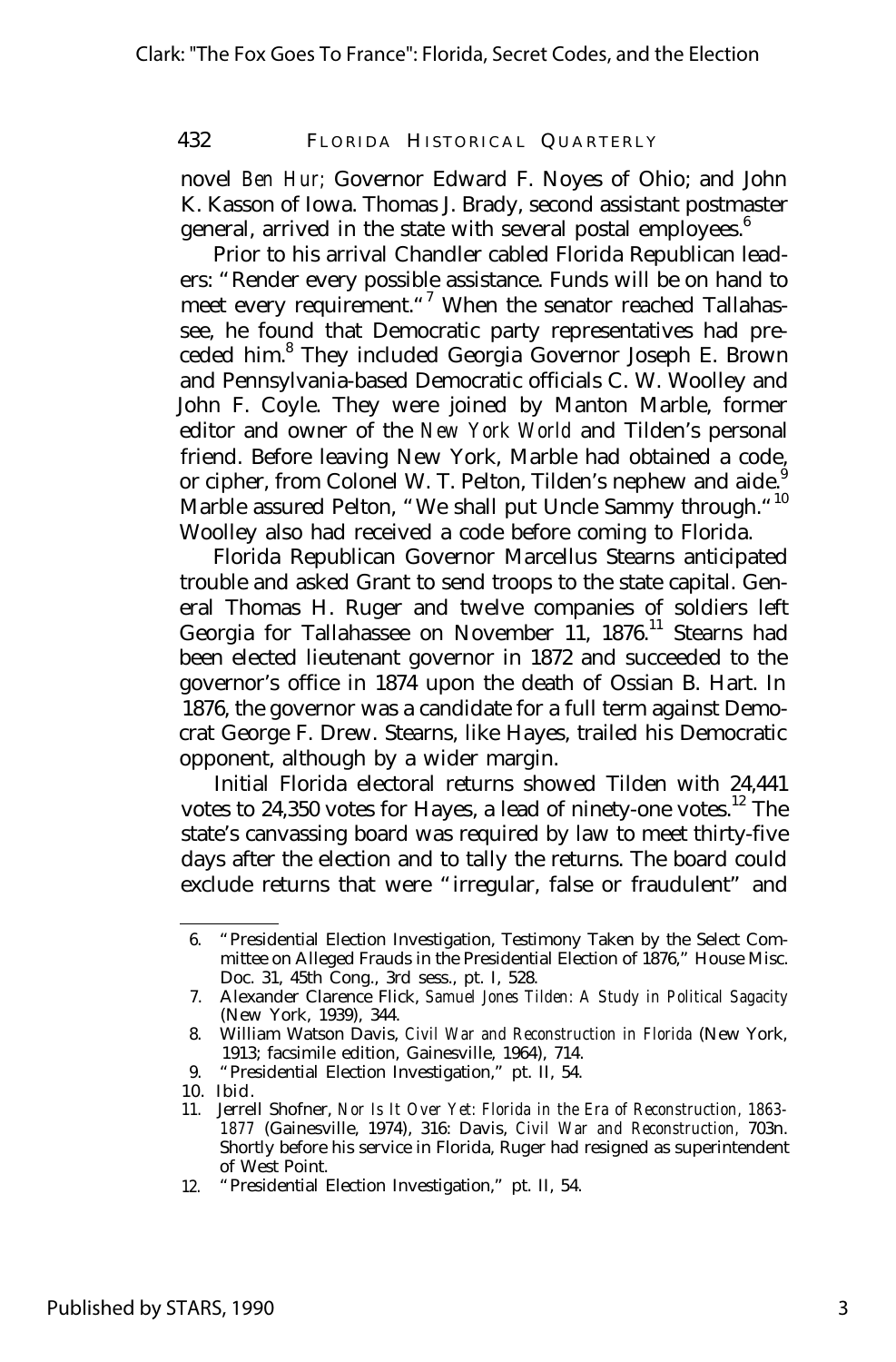novel *Ben Hur;* Governor Edward F. Noyes of Ohio; and John K. Kasson of Iowa. Thomas J. Brady, second assistant postmaster general, arrived in the state with several postal employees.<sup>6</sup>

Prior to his arrival Chandler cabled Florida Republican leaders: "Render every possible assistance. Funds will be on hand to meet every requirement."<sup>7</sup> When the senator reached Tallahassee, he found that Democratic party representatives had preceded him.<sup>8</sup> They included Georgia Governor Joseph E. Brown and Pennsylvania-based Democratic officials C. W. Woolley and John F. Coyle. They were joined by Manton Marble, former editor and owner of the *New York World* and Tilden's personal friend. Before leaving New York, Marble had obtained a code, or cipher, from Colonel W. T. Pelton, Tilden's nephew and aide. Marble assured Pelton, "We shall put Uncle Sammy through."<sup>10</sup> Woolley also had received a code before coming to Florida.

Florida Republican Governor Marcellus Stearns anticipated trouble and asked Grant to send troops to the state capital. General Thomas H. Ruger and twelve companies of soldiers left Georgia for Tallahassee on November 11, 1876.<sup>11</sup> Stearns had been elected lieutenant governor in 1872 and succeeded to the governor's office in 1874 upon the death of Ossian B. Hart. In 1876, the governor was a candidate for a full term against Democrat George F. Drew. Stearns, like Hayes, trailed his Democratic opponent, although by a wider margin.

Initial Florida electoral returns showed Tilden with 24,441 votes to  $24,350$  votes for Hayes, a lead of ninety-one votes.<sup>12</sup> The state's canvassing board was required by law to meet thirty-five days after the election and to tally the returns. The board could exclude returns that were "irregular, false or fraudulent" and

- 9. "Presidential Election Investigation," pt. II, 54.
- 10. Ibid.

<sup>6.</sup> "Presidential Election Investigation, Testimony Taken by the Select Committee on Alleged Frauds in the Presidential Election of 1876," House Misc. Doc. 31, 45th Cong., 3rd sess., pt. I, 528.

<sup>7.</sup> Alexander Clarence Flick, *Samuel Jones Tilden: A Study in Political Sagacity* (New York, 1939), 344.

<sup>8.</sup> William Watson Davis, *Civil War and Reconstruction in Florida* (New York, 1913; facsimile edition, Gainesville, 1964), 714.

<sup>11.</sup> Jerrell Shofner, *Nor Is It Over Yet: Florida in the Era of Reconstruction, 1863- 1877* (Gainesville, 1974), 316: Davis, *Civil War and Reconstruction,* 703n. Shortly before his service in Florida, Ruger had resigned as superintendent of West Point.

<sup>12.</sup> "Presidential Election Investigation," pt. II, 54.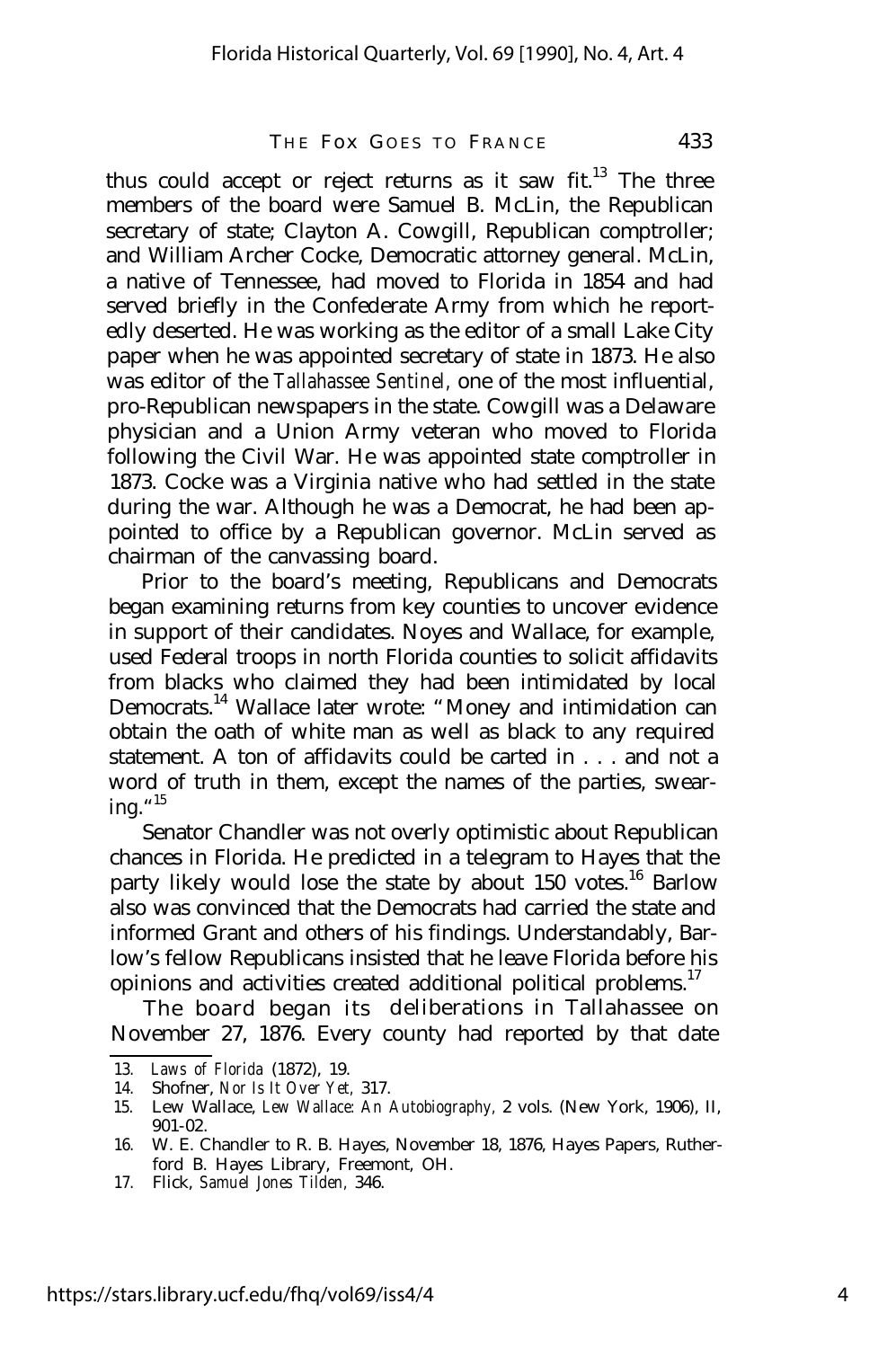thus could accept or reject returns as it saw fit.<sup>13</sup> The three members of the board were Samuel B. McLin, the Republican secretary of state; Clayton A. Cowgill, Republican comptroller; and William Archer Cocke, Democratic attorney general. McLin, a native of Tennessee, had moved to Florida in 1854 and had served briefly in the Confederate Army from which he reportedly deserted. He was working as the editor of a small Lake City paper when he was appointed secretary of state in 1873. He also was editor of the *Tallahassee Sentinel,* one of the most influential, pro-Republican newspapers in the state. Cowgill was a Delaware physician and a Union Army veteran who moved to Florida following the Civil War. He was appointed state comptroller in 1873. Cocke was a Virginia native who had settled in the state during the war. Although he was a Democrat, he had been appointed to office by a Republican governor. McLin served as chairman of the canvassing board.

Prior to the board's meeting, Republicans and Democrats began examining returns from key counties to uncover evidence in support of their candidates. Noyes and Wallace, for example, used Federal troops in north Florida counties to solicit affidavits from blacks who claimed they had been intimidated by local Democrats.<sup>14</sup> Wallace later wrote: "Money and intimidation can obtain the oath of white man as well as black to any required statement. A ton of affidavits could be carted in . . . and not a word of truth in them, except the names of the parties, swearing."<sup>15</sup>

Senator Chandler was not overly optimistic about Republican chances in Florida. He predicted in a telegram to Hayes that the party likely would lose the state by about 150 votes.<sup>16</sup> Barlow also was convinced that the Democrats had carried the state and informed Grant and others of his findings. Understandably, Barlow's fellow Republicans insisted that he leave Florida before his opinions and activities created additional political problems.<sup>17</sup>

The board began its deliberations in Tallahassee on November 27, 1876. Every county had reported by that date

<sup>13.</sup> *Laws of Florida* (1872), 19.

<sup>14.</sup> Shofner, *Nor Is It Over Yet,* 317.

<sup>15.</sup> Lew Wallace, *Lew Wallace: An Autobiography,* 2 vols. (New York, 1906), II, 901-02.

<sup>16.</sup> W. E. Chandler to R. B. Hayes, November 18, 1876, Hayes Papers, Rutherford B. Hayes Library, Freemont, OH.

<sup>17.</sup> Flick, *Samuel Jones Tilden,* 346.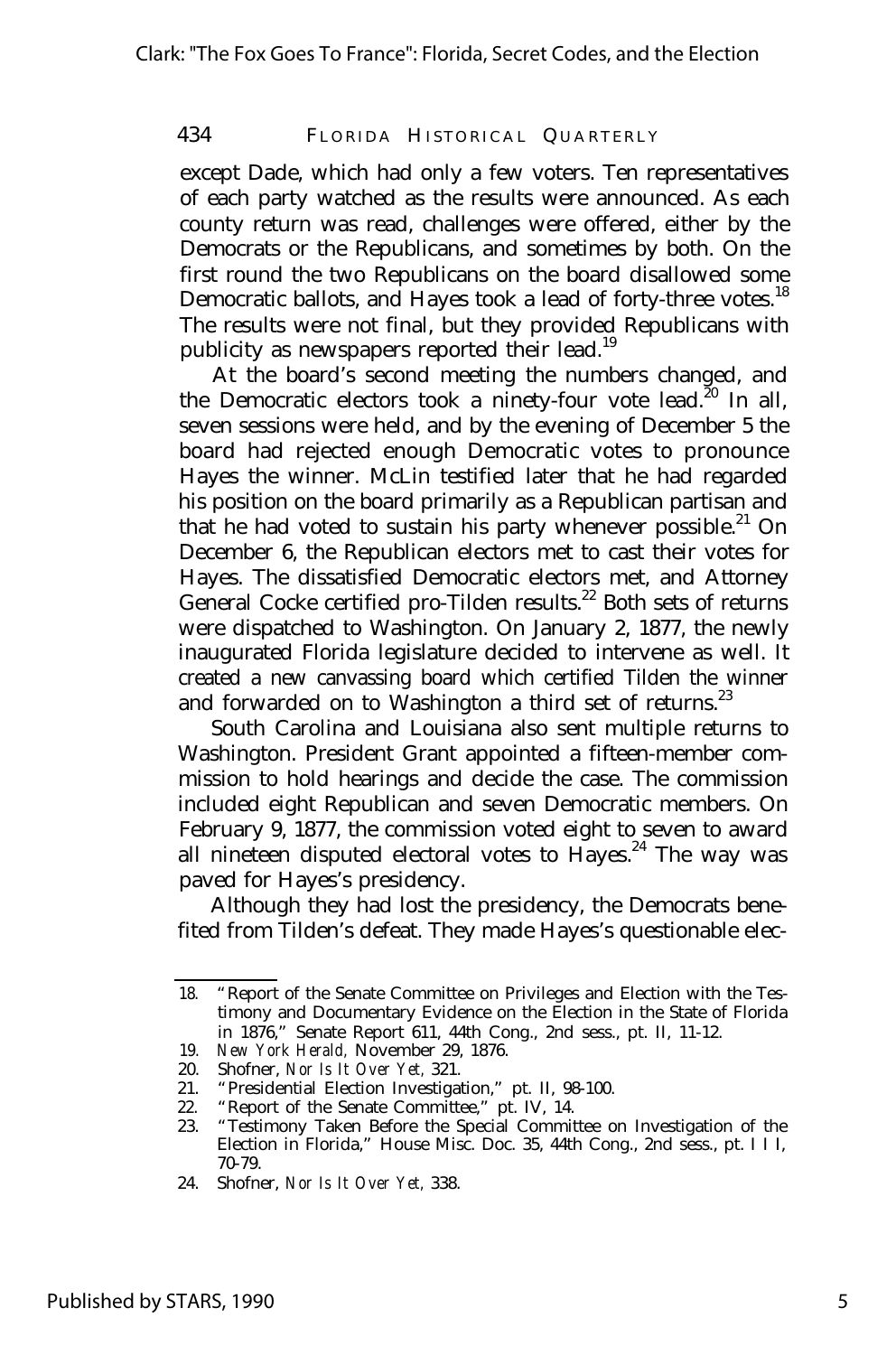except Dade, which had only a few voters. Ten representatives of each party watched as the results were announced. As each county return was read, challenges were offered, either by the Democrats or the Republicans, and sometimes by both. On the first round the two Republicans on the board disallowed some Democratic ballots, and Hayes took a lead of forty-three votes.<sup>18</sup> The results were not final, but they provided Republicans with publicity as newspapers reported their lead.<sup>19</sup>

At the board's second meeting the numbers changed, and the Democratic electors took a ninety-four vote lead.<sup>20</sup> In all, seven sessions were held, and by the evening of December 5 the board had rejected enough Democratic votes to pronounce Hayes the winner. McLin testified later that he had regarded his position on the board primarily as a Republican partisan and that he had voted to sustain his party whenever possible.<sup>21</sup> On December 6, the Republican electors met to cast their votes for Hayes. The dissatisfied Democratic electors met, and Attorney General Cocke certified pro-Tilden results.<sup>22</sup> Both sets of returns were dispatched to Washington. On January 2, 1877, the newly inaugurated Florida legislature decided to intervene as well. It created a new canvassing board which certified Tilden the winner and forwarded on to Washington a third set of returns.<sup>23</sup>

South Carolina and Louisiana also sent multiple returns to Washington. President Grant appointed a fifteen-member commission to hold hearings and decide the case. The commission included eight Republican and seven Democratic members. On February 9, 1877, the commission voted eight to seven to award all nineteen disputed electoral votes to Hayes.<sup>24</sup> The way was paved for Hayes's presidency.

Although they had lost the presidency, the Democrats benefited from Tilden's defeat. They made Hayes's questionable elec-

<sup>18.</sup> "Report of the Senate Committee on Privileges and Election with the Testimony and Documentary Evidence on the Election in the State of Florida in 1876," Senate Report 611, 44th Cong., 2nd sess., pt. II, 11-12.

<sup>19.</sup> *New York Herald,* November 29, 1876.

<sup>20.</sup> Shofner, *Nor Is It Over Yet,* 321.

<sup>21.</sup> "Presidential Election Investigation," pt. II, 98-100.

<sup>22. &</sup>quot;Report of the Senate Committee," pt. IV, 14.<br>23. "Testimony Taken Before the Special Commit

<sup>23.</sup> "Testimony Taken Before the Special Committee on Investigation of the Election in Florida," House Misc. Doc. 35, 44th Cong., 2nd sess., pt. I I I, 70-79.

<sup>24.</sup> Shofner, *Nor Is It Over Yet,* 338.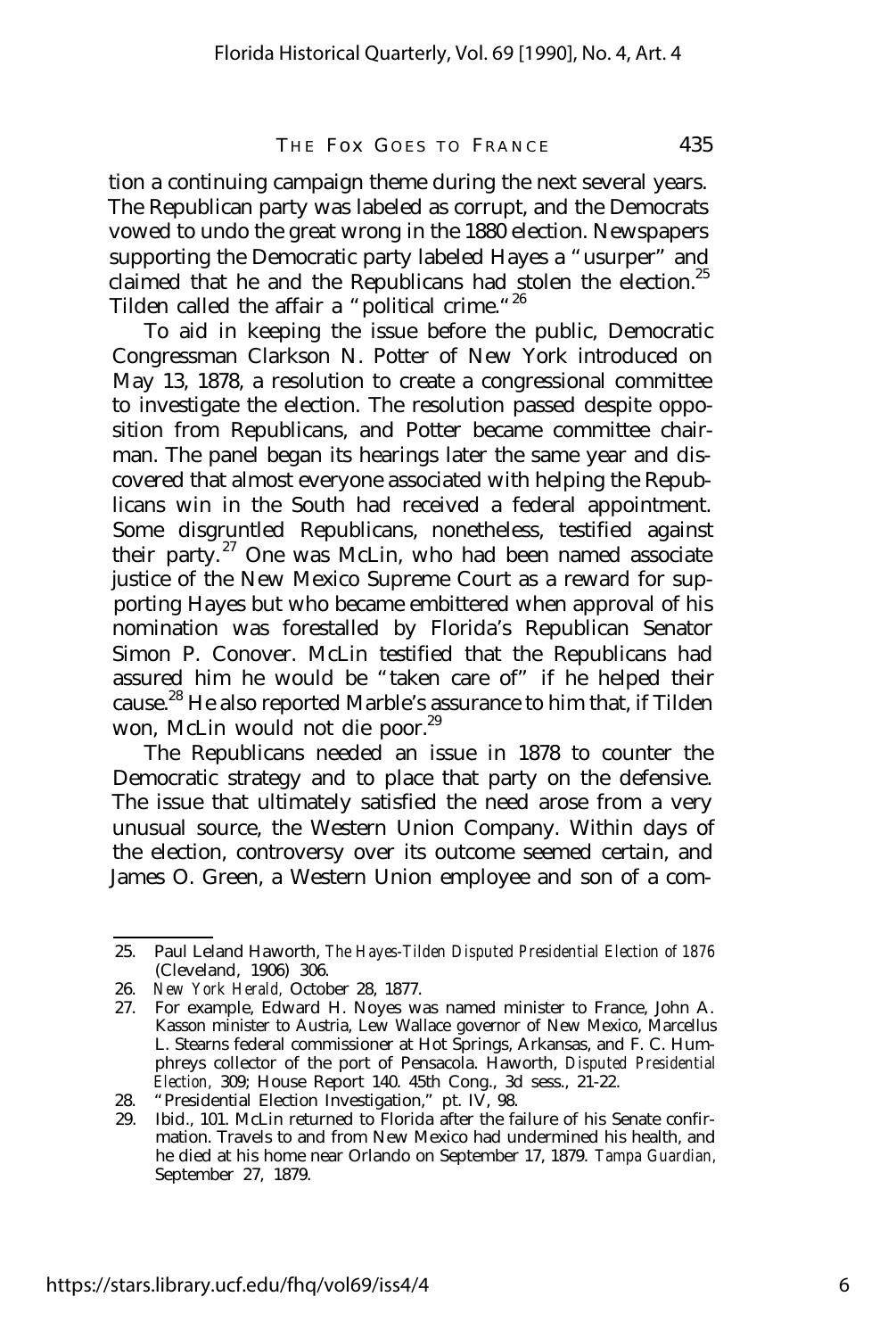tion a continuing campaign theme during the next several years. The Republican party was labeled as corrupt, and the Democrats vowed to undo the great wrong in the 1880 election. Newspapers supporting the Democratic party labeled Hayes a "usurper" and claimed that he and the Republicans had stolen the election.<sup>25</sup> Tilden called the affair a "political crime."<sup>26</sup>

To aid in keeping the issue before the public, Democratic Congressman Clarkson N. Potter of New York introduced on May 13, 1878, a resolution to create a congressional committee to investigate the election. The resolution passed despite opposition from Republicans, and Potter became committee chairman. The panel began its hearings later the same year and discovered that almost everyone associated with helping the Republicans win in the South had received a federal appointment. Some disgruntled Republicans, nonetheless, testified against their party. $27$  One was McLin, who had been named associate justice of the New Mexico Supreme Court as a reward for supporting Hayes but who became embittered when approval of his nomination was forestalled by Florida's Republican Senator Simon P. Conover. McLin testified that the Republicans had assured him he would be "taken care of" if he helped their cause.<sup>28</sup> He also reported Marble's assurance to him that, if Tilden won, McLin would not die poor.<sup>29</sup>

The Republicans needed an issue in 1878 to counter the Democratic strategy and to place that party on the defensive. The issue that ultimately satisfied the need arose from a very unusual source, the Western Union Company. Within days of the election, controversy over its outcome seemed certain, and James O. Green, a Western Union employee and son of a com-

<sup>25.</sup> Paul Leland Haworth, *The Hayes-Tilden Disputed Presidential Election of 1876* (Cleveland, 1906) 306.

<sup>26.</sup> *New York Herald,* October 28, 1877.

<sup>27.</sup> For example, Edward H. Noyes was named minister to France, John A. Kasson minister to Austria, Lew Wallace governor of New Mexico, Marcellus L. Stearns federal commissioner at Hot Springs, Arkansas, and F. C. Humphreys collector of the port of Pensacola. Haworth, *Disputed Presidential Election,* 309; House Report 140. 45th Cong., 3d sess., 21-22.

<sup>28.</sup> "Presidential Election Investigation," pt. IV, 98.

<sup>29.</sup> Ibid., 101. McLin returned to Florida after the failure of his Senate confirmation. Travels to and from New Mexico had undermined his health, and he died at his home near Orlando on September 17, 1879. *Tampa Guardian,* September 27, 1879.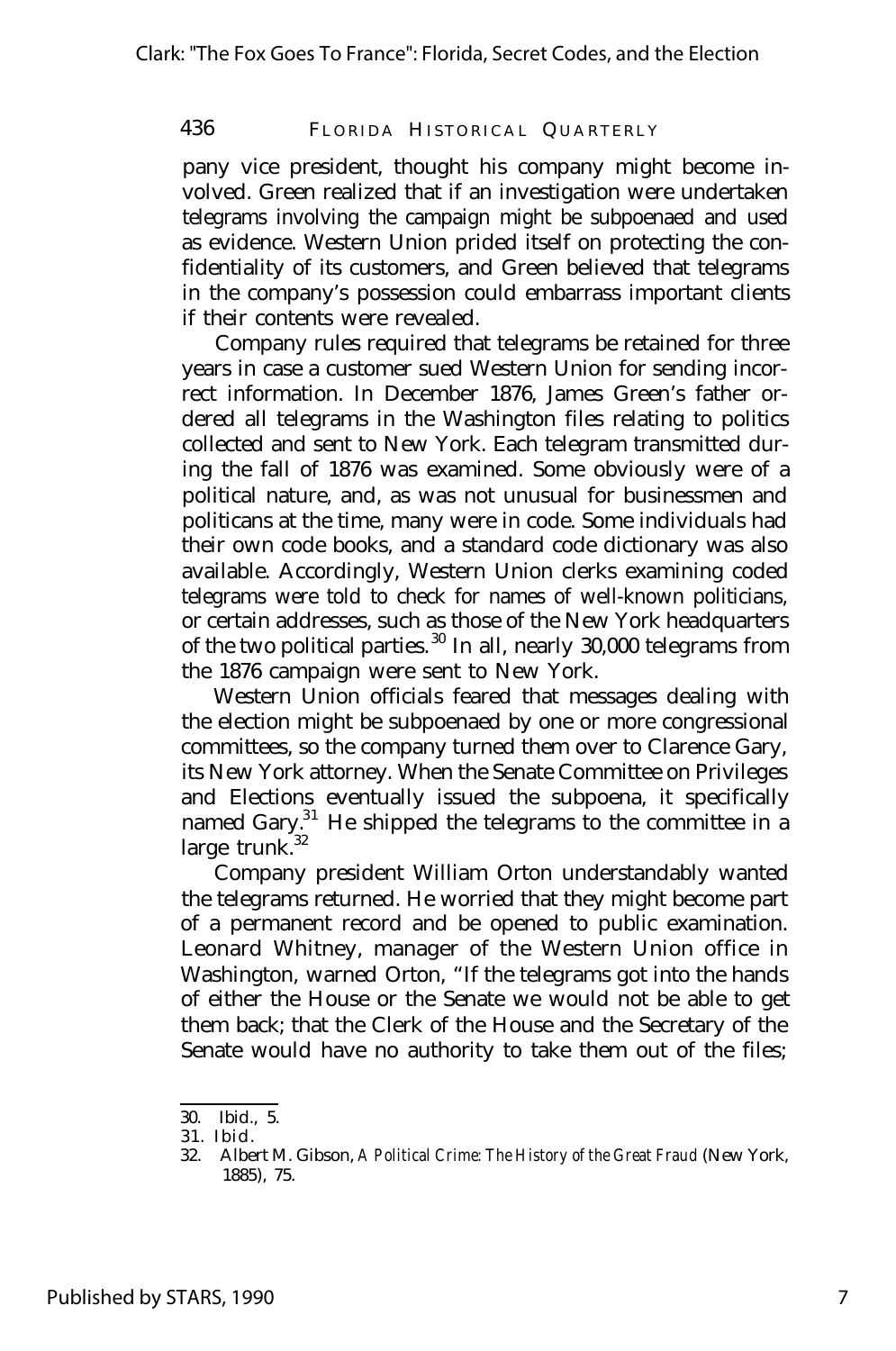pany vice president, thought his company might become involved. Green realized that if an investigation were undertaken telegrams involving the campaign might be subpoenaed and used as evidence. Western Union prided itself on protecting the confidentiality of its customers, and Green believed that telegrams in the company's possession could embarrass important clients if their contents were revealed.

Company rules required that telegrams be retained for three years in case a customer sued Western Union for sending incorrect information. In December 1876, James Green's father ordered all telegrams in the Washington files relating to politics collected and sent to New York. Each telegram transmitted during the fall of 1876 was examined. Some obviously were of a political nature, and, as was not unusual for businessmen and politicans at the time, many were in code. Some individuals had their own code books, and a standard code dictionary was also available. Accordingly, Western Union clerks examining coded telegrams were told to check for names of well-known politicians, or certain addresses, such as those of the New York headquarters of the two political parties. <sup>30</sup> In all, nearly 30,000 telegrams from the 1876 campaign were sent to New York.

Western Union officials feared that messages dealing with the election might be subpoenaed by one or more congressional committees, so the company turned them over to Clarence Gary, its New York attorney. When the Senate Committee on Privileges and Elections eventually issued the subpoena, it specifically named Gary.<sup>31</sup> He shipped the telegrams to the committee in a large trunk. $32$ 

Company president William Orton understandably wanted the telegrams returned. He worried that they might become part of a permanent record and be opened to public examination. Leonard Whitney, manager of the Western Union office in Washington, warned Orton, "If the telegrams got into the hands of either the House or the Senate we would not be able to get them back; that the Clerk of the House and the Secretary of the Senate would have no authority to take them out of the files;

<sup>30.</sup> Ibid., 5.

<sup>31.</sup> Ibid.

<sup>32.</sup> Albert M. Gibson, *A Political Crime: The History of the Great Fraud* (New York, 1885), 75.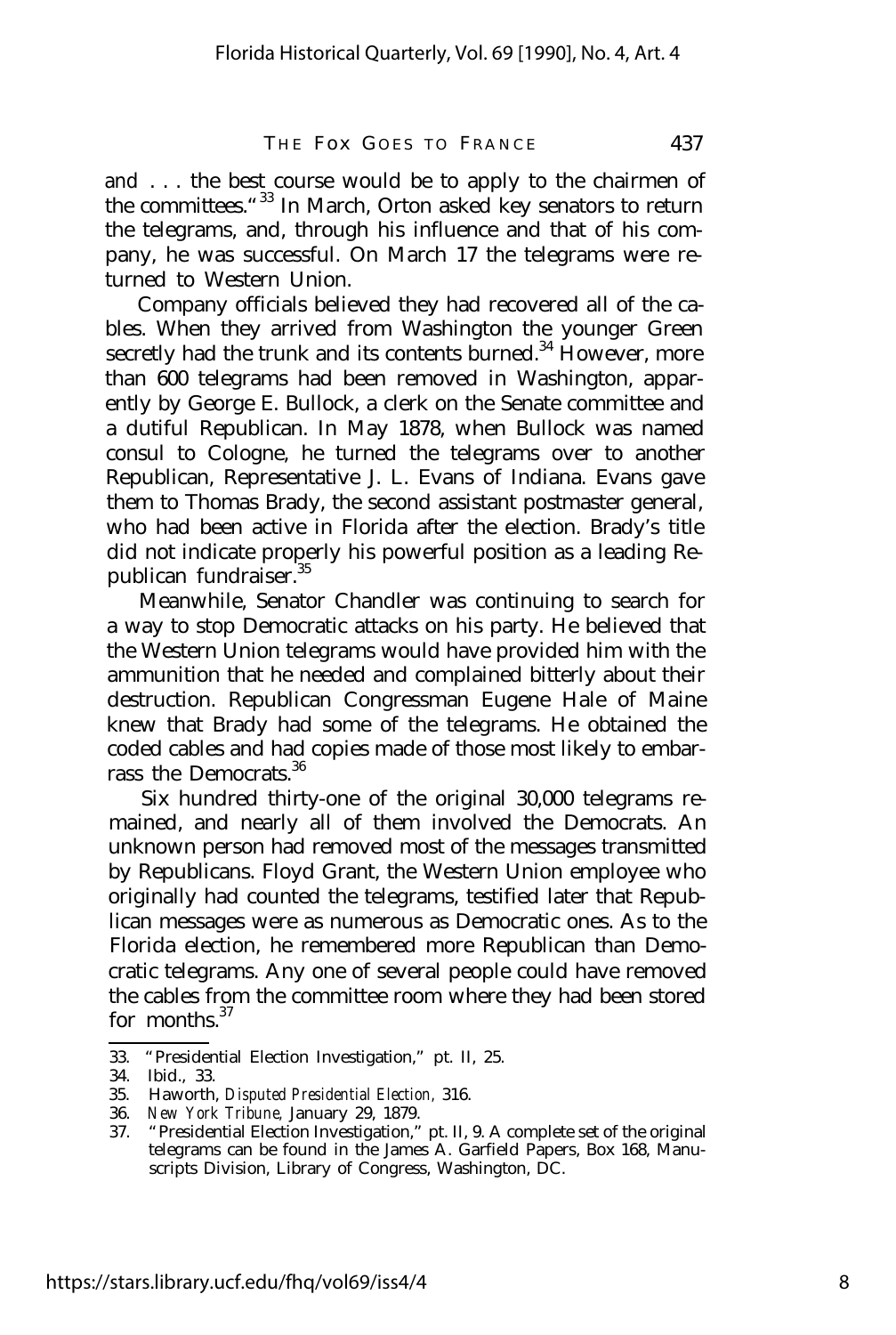and . . . the best course would be to apply to the chairmen of the committees."<sup>33</sup> In March, Orton asked key senators to return the telegrams, and, through his influence and that of his company, he was successful. On March 17 the telegrams were returned to Western Union.

Company officials believed they had recovered all of the cables. When they arrived from Washington the younger Green secretly had the trunk and its contents burned.<sup>34</sup> However, more than 600 telegrams had been removed in Washington, apparently by George E. Bullock, a clerk on the Senate committee and a dutiful Republican. In May 1878, when Bullock was named consul to Cologne, he turned the telegrams over to another Republican, Representative J. L. Evans of Indiana. Evans gave them to Thomas Brady, the second assistant postmaster general, who had been active in Florida after the election. Brady's title did not indicate properly his powerful position as a leading Republican fundraiser.<sup>35</sup>

Meanwhile, Senator Chandler was continuing to search for a way to stop Democratic attacks on his party. He believed that the Western Union telegrams would have provided him with the ammunition that he needed and complained bitterly about their destruction. Republican Congressman Eugene Hale of Maine knew that Brady had some of the telegrams. He obtained the coded cables and had copies made of those most likely to embarrass the Democrats.<sup>36</sup>

Six hundred thirty-one of the original 30,000 telegrams remained, and nearly all of them involved the Democrats. An unknown person had removed most of the messages transmitted by Republicans. Floyd Grant, the Western Union employee who originally had counted the telegrams, testified later that Republican messages were as numerous as Democratic ones. As to the Florida election, he remembered more Republican than Democratic telegrams. Any one of several people could have removed the cables from the committee room where they had been stored for months.<sup>37</sup>

<sup>33. &</sup>quot;Presidential Election Investigation," pt. II, 25.

<sup>34.</sup> Ibid., 33.

<sup>35.</sup> Haworth, *Disputed Presidential Election,* 316.

<sup>36.</sup> *New York Tribune,* January 29, 1879.

<sup>37.</sup> "Presidential Election Investigation," pt. II, 9. A complete set of the original telegrams can be found in the James A. Garfield Papers, Box 168, Manuscripts Division, Library of Congress, Washington, DC.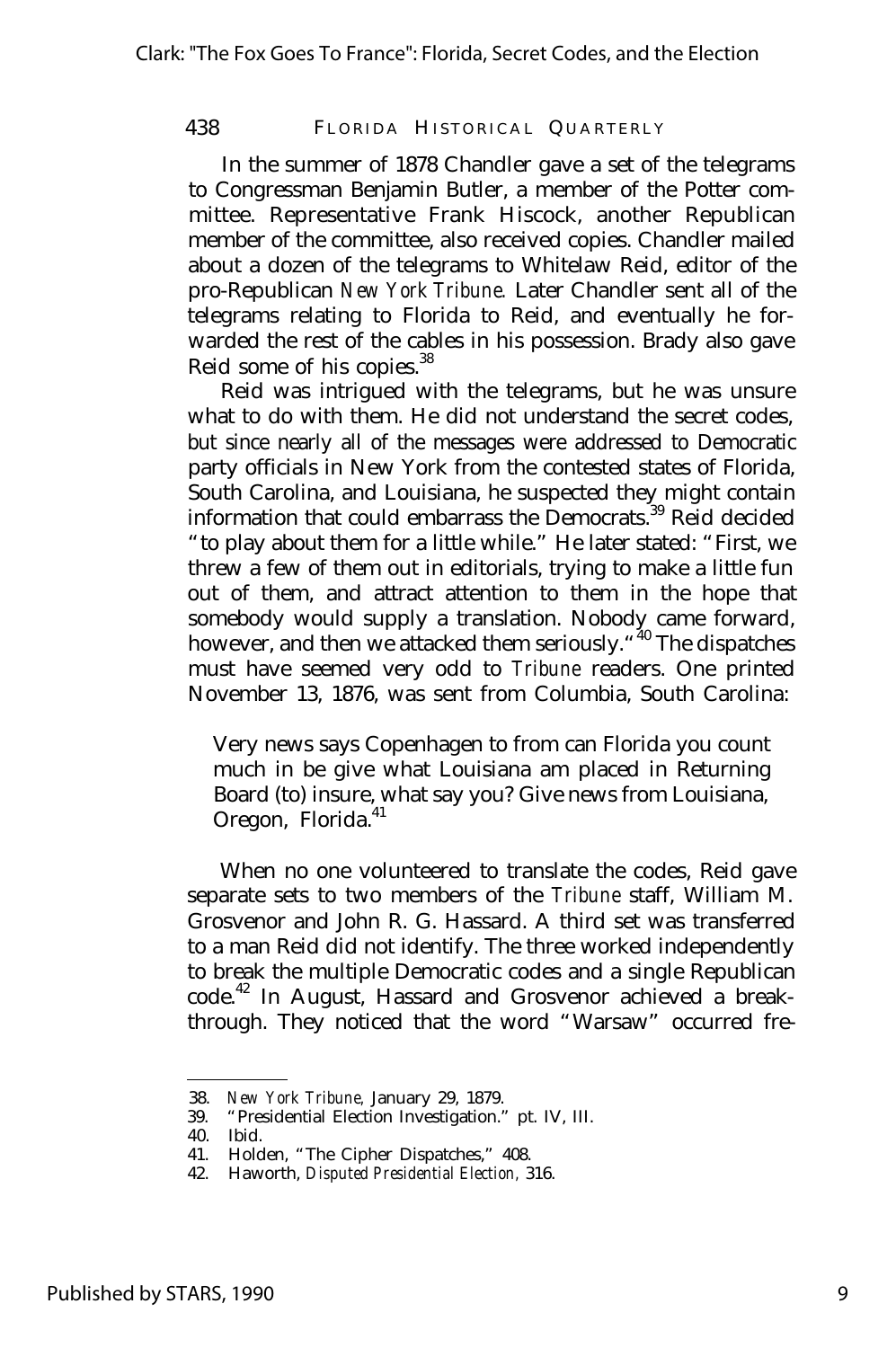In the summer of 1878 Chandler gave a set of the telegrams to Congressman Benjamin Butler, a member of the Potter committee. Representative Frank Hiscock, another Republican member of the committee, also received copies. Chandler mailed about a dozen of the telegrams to Whitelaw Reid, editor of the pro-Republican *New York Tribune.* Later Chandler sent all of the telegrams relating to Florida to Reid, and eventually he forwarded the rest of the cables in his possession. Brady also gave Reid some of his copies.<sup>38</sup>

Reid was intrigued with the telegrams, but he was unsure what to do with them. He did not understand the secret codes, but since nearly all of the messages were addressed to Democratic party officials in New York from the contested states of Florida, South Carolina, and Louisiana, he suspected they might contain information that could embarrass the Democrats.<sup>39</sup> Reid decided "to play about them for a little while." He later stated: "First, we threw a few of them out in editorials, trying to make a little fun out of them, and attract attention to them in the hope that somebody would supply a translation. Nobody came forward, however, and then we attacked them seriously. "<sup>40</sup> The dispatches must have seemed very odd to *Tribune* readers. One printed November 13, 1876, was sent from Columbia, South Carolina:

Very news says Copenhagen to from can Florida you count much in be give what Louisiana am placed in Returning Board (to) insure, what say you? Give news from Louisiana, Oregon, Florida.<sup>41</sup>

When no one volunteered to translate the codes, Reid gave separate sets to two members of the *Tribune* staff, William M. Grosvenor and John R. G. Hassard. A third set was transferred to a man Reid did not identify. The three worked independently to break the multiple Democratic codes and a single Republican code.<sup>42</sup> In August, Hassard and Grosvenor achieved a breakthrough. They noticed that the word "Warsaw" occurred fre-

<sup>38.</sup> *New York Tribune,* January 29, 1879.

<sup>39.</sup> "Presidential Election Investigation." pt. IV, III.

<sup>40.</sup> Ibid.

<sup>41.</sup> Holden, "The Cipher Dispatches," 408.

<sup>42.</sup> Haworth, *Disputed Presidential Election,* 316.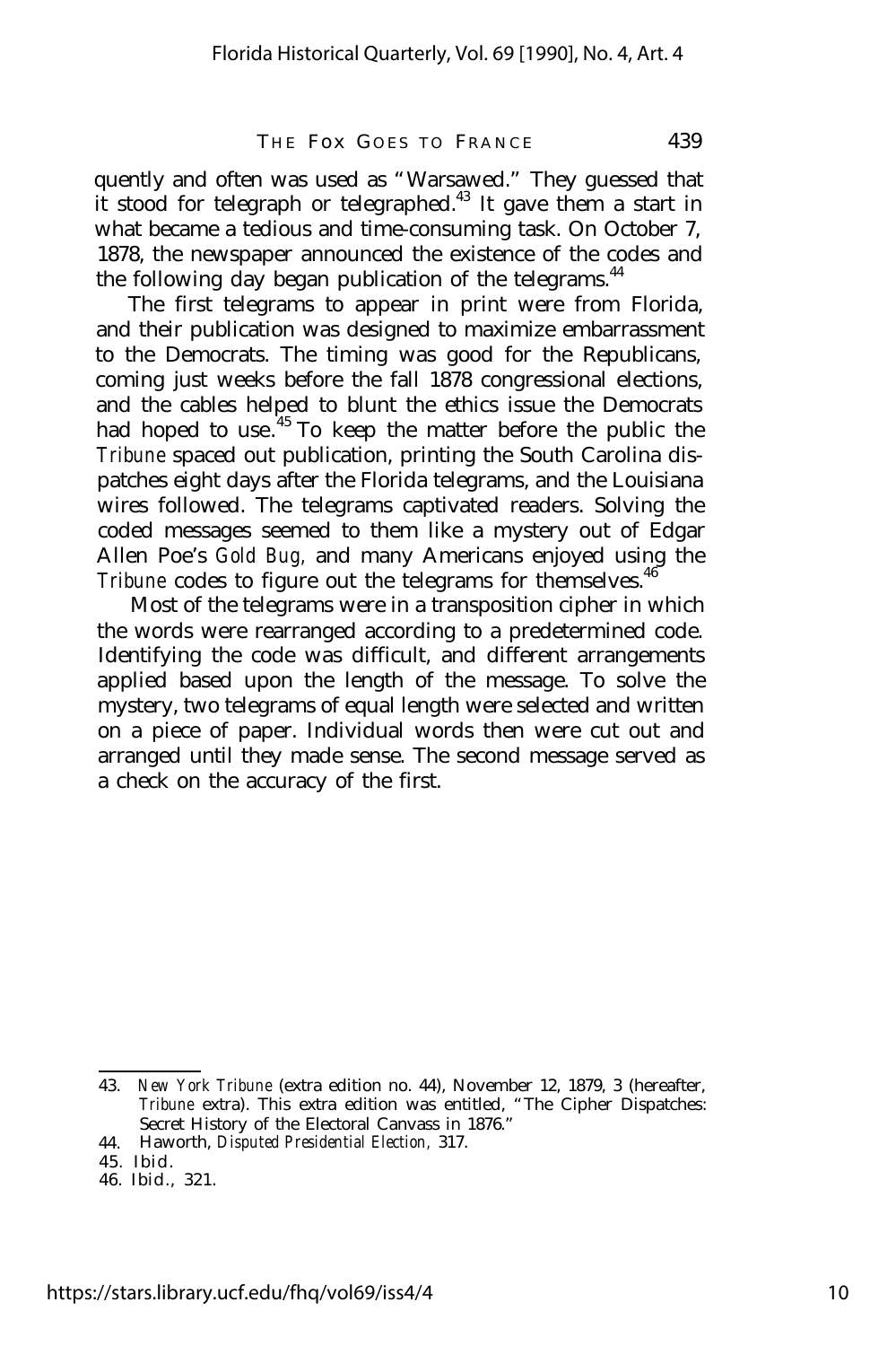quently and often was used as "Warsawed." They guessed that it stood for telegraph or telegraphed.<sup>43</sup> It gave them a start in what became a tedious and time-consuming task. On October 7, 1878, the newspaper announced the existence of the codes and the following day began publication of the telegrams.  $44$ 

The first telegrams to appear in print were from Florida, and their publication was designed to maximize embarrassment to the Democrats. The timing was good for the Republicans, coming just weeks before the fall 1878 congressional elections. and the cables helped to blunt the ethics issue the Democrats had hoped to use.<sup>45</sup> To keep the matter before the public the *Tribune* spaced out publication, printing the South Carolina dispatches eight days after the Florida telegrams, and the Louisiana wires followed. The telegrams captivated readers. Solving the coded messages seemed to them like a mystery out of Edgar Allen Poe's *Gold Bug,* and many Americans enjoyed using the *Tribune* codes to figure out the telegrams for themselves.<sup>46</sup>

Most of the telegrams were in a transposition cipher in which the words were rearranged according to a predetermined code. Identifying the code was difficult, and different arrangements applied based upon the length of the message. To solve the mystery, two telegrams of equal length were selected and written on a piece of paper. Individual words then were cut out and arranged until they made sense. The second message served as a check on the accuracy of the first.

<sup>43.</sup> *New York Tribune* (extra edition no. 44), November 12, 1879, 3 (hereafter, *Tribune* extra). This extra edition was entitled, "The Cipher Dispatches: Secret History of the Electoral Canvass in 1876."

<sup>44.</sup> Haworth, *Disputed Presidential Election,* 317.

<sup>45.</sup> Ibid.

<sup>46.</sup> Ibid., 321.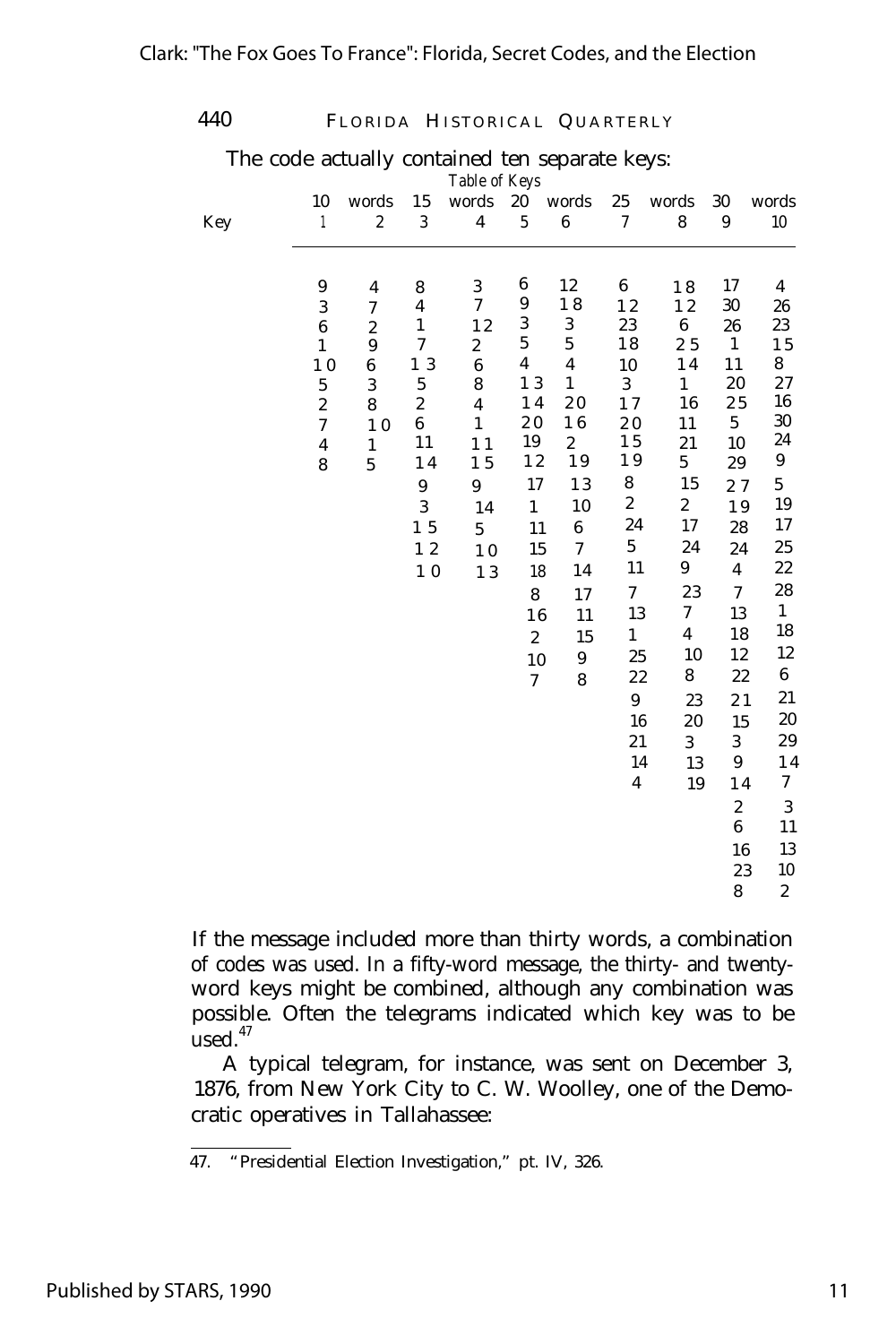The code actually contained ten separate keys:

| I 4 ( |  |
|-------|--|
|-------|--|

FLORIDA HISTORICAL QUARTERLY

|     |                         |                         |                  | smannoù ten separate nejs:<br>Table of Keys |                  |                         |                  |                         |                         |                  |
|-----|-------------------------|-------------------------|------------------|---------------------------------------------|------------------|-------------------------|------------------|-------------------------|-------------------------|------------------|
|     | 10                      | words                   | 15               | words                                       | 20               | words                   | 25               | words                   | 30                      | words            |
| Key | $\mathbf{1}$            | $\boldsymbol{2}$        | $\sqrt{3}$       | $\overline{\mathbf{4}}$                     | $\bf 5$          | $\boldsymbol{6}$        | 7                | $\bf 8$                 | 9                       | 10               |
|     |                         |                         |                  |                                             |                  |                         |                  |                         |                         |                  |
|     | 9                       | $\overline{\mathbf{4}}$ | 8                | 3                                           | 6                | 12                      | 6                | 18                      | 17                      | 4                |
|     | $\sqrt{3}$              | $\boldsymbol{7}$        | 4                | 7                                           | 9                | 18                      | $1\;2$           | 12                      | 30                      | 26               |
|     | $\bf 6$                 | $\boldsymbol{2}$        | $\mathbf{1}$     | $1\,2$                                      | 3                | $\boldsymbol{3}$        | $\bf 23$         | $\bf 6$                 | 26                      | 23               |
|     | $\mathbf{1}$            | 9                       | $\tau$           | $\boldsymbol{2}$                            | $\mathbf 5$      | $\bf 5$                 | $1\,8$           | 25                      | $\mathbf 1$             | 15               |
|     | 10                      | 6                       | 1 3              | $\bf 6$                                     | $\boldsymbol{4}$ | $\overline{\mathbf{4}}$ | 10               | 14                      | 11                      | 8                |
|     | $\bf 5$                 | $\sqrt{3}$              | $\bf 5$          | 8                                           | 13               | $\mathbf{1}$            | 3                | $\mathbf{1}$            | 20                      | 27               |
|     | $\boldsymbol{2}$        | 8                       | $\boldsymbol{2}$ | 4                                           | 14               | 20                      | 17               | 16                      | 25                      | 16<br>30         |
|     | $\boldsymbol{7}$        | 10                      | 6                | $\mathbf{1}$                                | $2\;0$           | 16                      | $2\;0$           | 11                      | $\mathbf 5$             | 24               |
|     | $\overline{\mathbf{4}}$ | $\mathbf 1$             | 11               | 11<br>15                                    | 19<br>12         | $\boldsymbol{2}$<br>19  | $1\,5$<br>19     | 21<br>$\bf 5$           | 10                      | 9                |
|     | 8                       | $\mathbf{5}$            | 14               |                                             | 17               | 13                      | 8                | 15                      | 29                      | $\bf 5$          |
|     |                         |                         | $\boldsymbol{9}$ | $\boldsymbol{9}$                            |                  |                         | $\boldsymbol{2}$ | $\boldsymbol{2}$        | 27                      | 19               |
|     |                         |                         | 3                | 14                                          | $\mathbf{1}$     | 10                      | 24               | 17                      | 19                      | 17               |
|     |                         |                         | 1 5              | $\overline{5}$                              | 11               | $\bf 6$                 | $\bf 5$          |                         | 28                      |                  |
|     |                         |                         | 12               | 10                                          | 15               | $\boldsymbol{7}$        |                  | 24                      | 24                      | 25               |
|     |                         |                         | $1\ 0$           | 13                                          | 18               | 14                      | 11               | 9                       | $\overline{\mathbf{4}}$ | 22               |
|     |                         |                         |                  |                                             | $\bf 8$          | 17                      | $\boldsymbol{7}$ | 23                      | $\overline{7}$          | 28               |
|     |                         |                         |                  |                                             | 16               | 11                      | 13               | 7                       | 13                      | $\mathbf{1}$     |
|     |                         |                         |                  |                                             | $\boldsymbol{2}$ | 15                      | $\mathbf{1}$     | $\overline{\mathbf{4}}$ | 18                      | 18               |
|     |                         |                         |                  |                                             | 10               | 9                       | 25               | 10                      | 12                      | 12               |
|     |                         |                         |                  |                                             | $\boldsymbol{7}$ | 8                       | 22               | 8                       | 22                      | 6                |
|     |                         |                         |                  |                                             |                  |                         | 9                | 23                      | 21                      | 21               |
|     |                         |                         |                  |                                             |                  |                         | 16               | 20                      | 15                      | 20               |
|     |                         |                         |                  |                                             |                  |                         | 21               | $\mathbf{3}$            | 3                       | 29               |
|     |                         |                         |                  |                                             |                  |                         | 14               | 13                      | $\boldsymbol{9}$        | 14               |
|     |                         |                         |                  |                                             |                  |                         | $\boldsymbol{4}$ | 19                      | $1\,4$                  | 7                |
|     |                         |                         |                  |                                             |                  |                         |                  |                         | $\boldsymbol{2}$        | $\sqrt{3}$       |
|     |                         |                         |                  |                                             |                  |                         |                  |                         | $6\phantom{1}$          | 11               |
|     |                         |                         |                  |                                             |                  |                         |                  |                         | 16                      | 13               |
|     |                         |                         |                  |                                             |                  |                         |                  |                         | $2\sqrt{3}$             | 10               |
|     |                         |                         |                  |                                             |                  |                         |                  |                         | 8                       | $\boldsymbol{2}$ |

If the message included more than thirty words, a combination of codes was used. In a fifty-word message, the thirty- and twentyword keys might be combined, although any combination was possible. Often the telegrams indicated which key was to be  $used.<sup>47</sup>$ 

A typical telegram, for instance, was sent on December 3, 1876, from New York City to C. W. Woolley, one of the Democratic operatives in Tallahassee:

<sup>47.</sup> "Presidential Election Investigation," pt. IV, 326.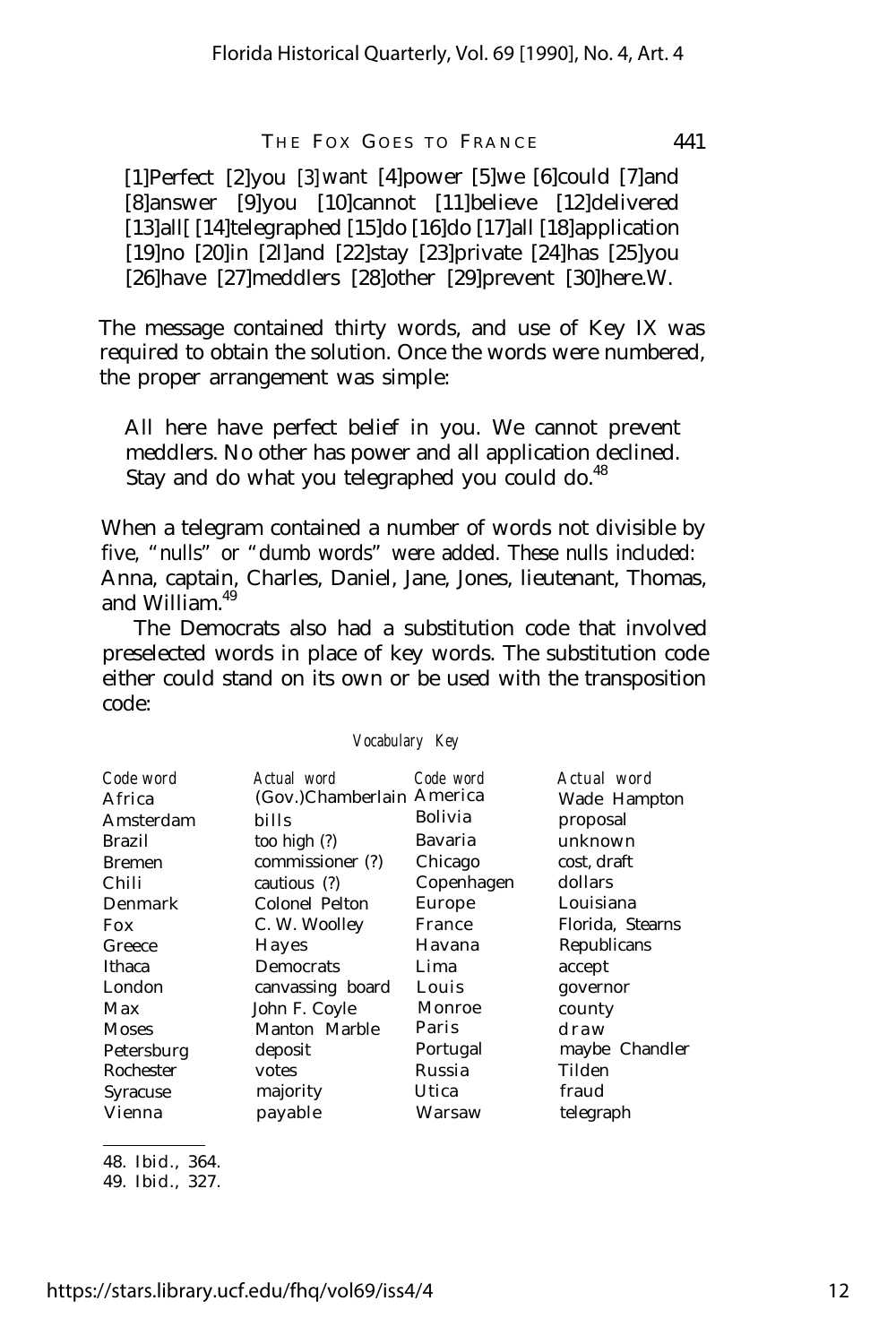[1]Perfect [2]you [3] want [4]power [5]we [6]could [7]and [8]answer [9]you [10]cannot [11]believe [12]delivered [13]all[ [14]telegraphed [15]do [16]do [17]all [18]application [19]no [20]in [2l]and [22]stay [23]private [24]has [25]you [26]have [27]meddlers [28]other [29]prevent [30]here.W.

The message contained thirty words, and use of Key IX was required to obtain the solution. Once the words were numbered, the proper arrangement was simple:

All here have perfect belief in you. We cannot prevent meddlers. No other has power and all application declined. Stay and do what you telegraphed you could do. $48$ 

When a telegram contained a number of words not divisible by five, "nulls" or "dumb words" were added. These nulls included: Anna, captain, Charles, Daniel, Jane, Jones, lieutenant, Thomas, and William  $49$ 

The Democrats also had a substitution code that involved preselected words in place of key words. The substitution code either could stand on its own or be used with the transposition code:

*Vocabulary Key*

| Code word<br>Africa<br>Amsterdam<br>Brazil<br><b>Bremen</b><br>Chili<br>Denmark<br>Fox<br>Greece<br>Ithaca<br>London<br>Max<br>Moses<br>Petersburg | Actual word<br>(Gov.)Chamberlain America<br>bills<br>too high (?)<br>commissioner (?)<br>cautious (?)<br>Colonel Pelton<br>C. W. Woolley<br>Hayes<br>Democrats<br>canvassing board<br>John F. Coyle<br>Manton Marble<br>deposit | Code word<br><b>Bolivia</b><br>Bavaria<br>Chicago<br>Copenhagen<br>Europe<br>France<br>Havana<br>Lima<br>Louis<br>Monroe<br>Paris<br>Portugal | Actual word<br>Wade Hampton<br>proposal<br>unknown<br>cost, draft<br>dollars<br>Louisiana<br>Florida, Stearns<br>Republicans<br>accept<br>governor<br>county<br>draw<br>maybe Chandler |
|----------------------------------------------------------------------------------------------------------------------------------------------------|---------------------------------------------------------------------------------------------------------------------------------------------------------------------------------------------------------------------------------|-----------------------------------------------------------------------------------------------------------------------------------------------|----------------------------------------------------------------------------------------------------------------------------------------------------------------------------------------|
| Rochester                                                                                                                                          | votes                                                                                                                                                                                                                           | Russia                                                                                                                                        | Tilden                                                                                                                                                                                 |
| Syracuse<br>Vienna                                                                                                                                 | majority<br>payable                                                                                                                                                                                                             | Utica<br>Warsaw                                                                                                                               | fraud<br>telegraph                                                                                                                                                                     |

48. Ibid., 364.

49. Ibid., 327.

https://stars.library.ucf.edu/fhq/vol69/iss4/4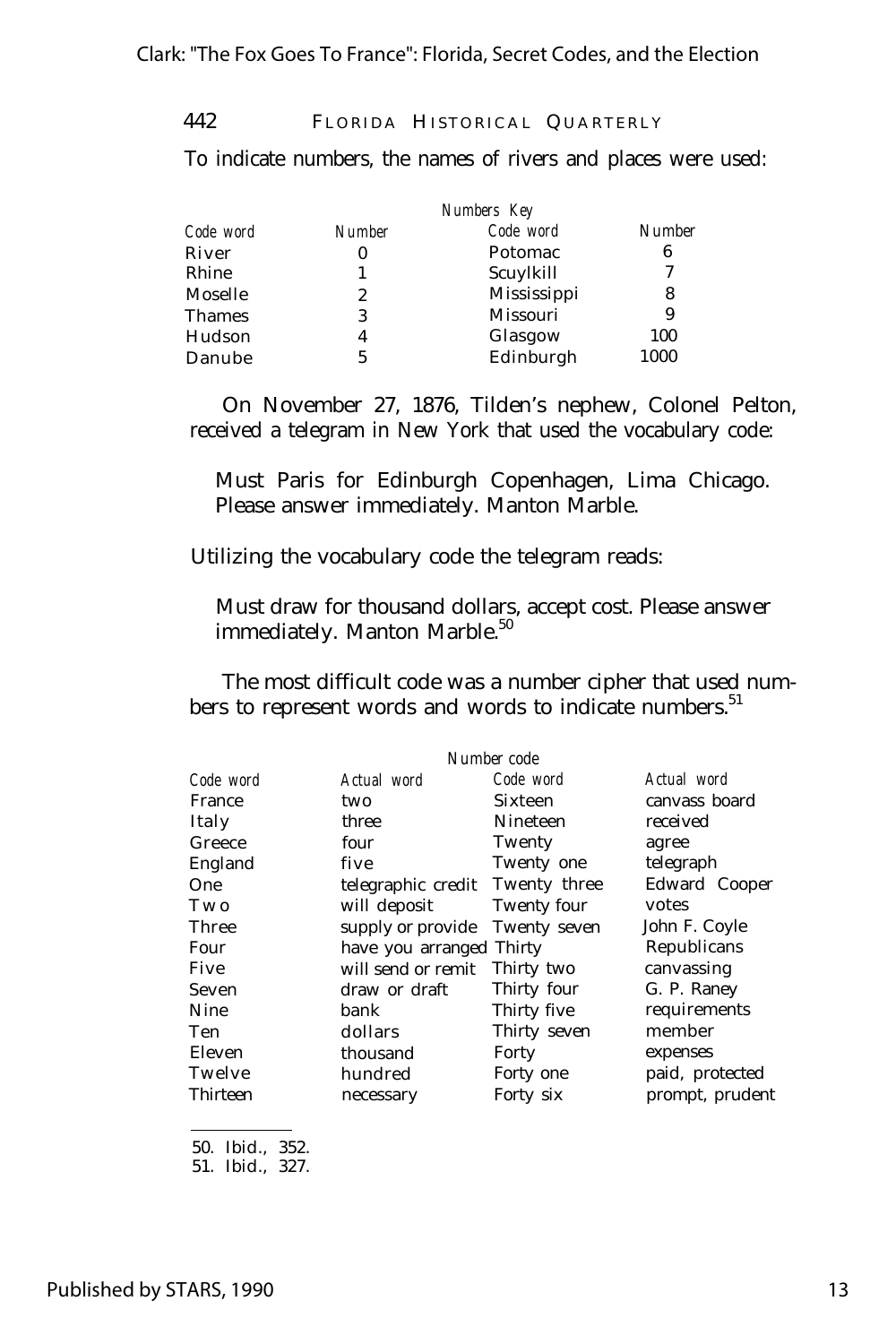To indicate numbers, the names of rivers and places were used:

|           | Numbers Key   |             |               |  |
|-----------|---------------|-------------|---------------|--|
| Code word | <b>Number</b> | Code word   | <b>Number</b> |  |
| River     |               | Potomac     | 6             |  |
| Rhine     |               | Scuylkill   | 7             |  |
| Moselle   | 2             | Mississippi | 8             |  |
| Thames    | 3             | Missouri    | 9             |  |
| Hudson    | 4             | Glasgow     | 100           |  |
| Danube    | 5             | Edinburgh   | 1000          |  |

On November 27, 1876, Tilden's nephew, Colonel Pelton, received a telegram in New York that used the vocabulary code:

Must Paris for Edinburgh Copenhagen, Lima Chicago. Please answer immediately. Manton Marble.

Utilizing the vocabulary code the telegram reads:

Must draw for thousand dollars, accept cost. Please answer immediately. Manton Marble.<sup>50</sup>

The most difficult code was a number cipher that used numbers to represent words and words to indicate numbers.<sup>51</sup>

|           |                          | Number code  |                 |
|-----------|--------------------------|--------------|-----------------|
| Code word | Actual word              | Code word    | Actual word     |
| France    | two                      | Sixteen      | canvass board   |
| Italy     | three                    | Nineteen     | received        |
| Greece    | four                     | Twenty       | agree           |
| England   | five                     | Twenty one   | telegraph       |
| One       | telegraphic credit       | Twenty three | Edward Cooper   |
| T w o     | will deposit             | Twenty four  | votes           |
| Three     | supply or provide        | Twenty seven | John F. Coyle   |
| Four      | have you arranged Thirty |              | Republicans     |
| Five      | will send or remit       | Thirty two   | canvassing      |
| Seven     | draw or draft            | Thirty four  | G. P. Raney     |
| Nine      | bank                     | Thirty five  | requirements    |
| Ten       | dollars                  | Thirty seven | member          |
| Eleven    | thousand                 | Forty        | expenses        |
| Twelve    | hundred                  | Forty one    | paid, protected |
| Thirteen  | necessary                | Forty six    | prompt, prudent |

50. Ibid., 352.

<sup>51.</sup> Ibid., 327.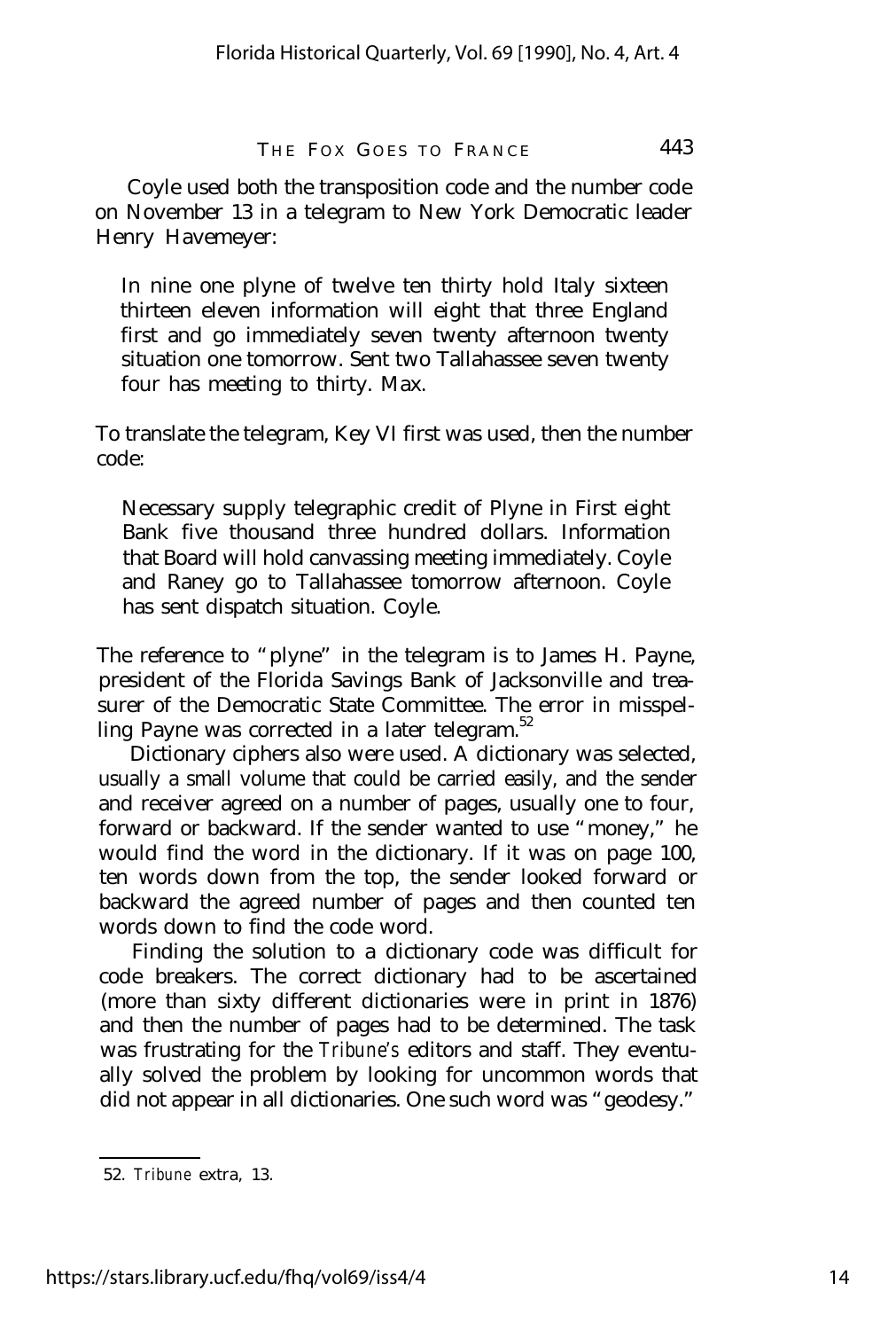Coyle used both the transposition code and the number code on November 13 in a telegram to New York Democratic leader Henry Havemeyer:

In nine one plyne of twelve ten thirty hold Italy sixteen thirteen eleven information will eight that three England first and go immediately seven twenty afternoon twenty situation one tomorrow. Sent two Tallahassee seven twenty four has meeting to thirty. Max.

To translate the telegram, Key VI first was used, then the number code:

Necessary supply telegraphic credit of Plyne in First eight Bank five thousand three hundred dollars. Information that Board will hold canvassing meeting immediately. Coyle and Raney go to Tallahassee tomorrow afternoon. Coyle has sent dispatch situation. Coyle.

The reference to "plyne" in the telegram is to James H. Payne, president of the Florida Savings Bank of Jacksonville and treasurer of the Democratic State Committee. The error in misspelling Payne was corrected in a later telegram. $52$ 

Dictionary ciphers also were used. A dictionary was selected, usually a small volume that could be carried easily, and the sender and receiver agreed on a number of pages, usually one to four, forward or backward. If the sender wanted to use "money," he would find the word in the dictionary. If it was on page 100, ten words down from the top, the sender looked forward or backward the agreed number of pages and then counted ten words down to find the code word.

Finding the solution to a dictionary code was difficult for code breakers. The correct dictionary had to be ascertained (more than sixty different dictionaries were in print in 1876) and then the number of pages had to be determined. The task was frustrating for the *Tribune's* editors and staff. They eventually solved the problem by looking for uncommon words that did not appear in all dictionaries. One such word was "geodesy."

<sup>52.</sup> *Tribune* extra, 13.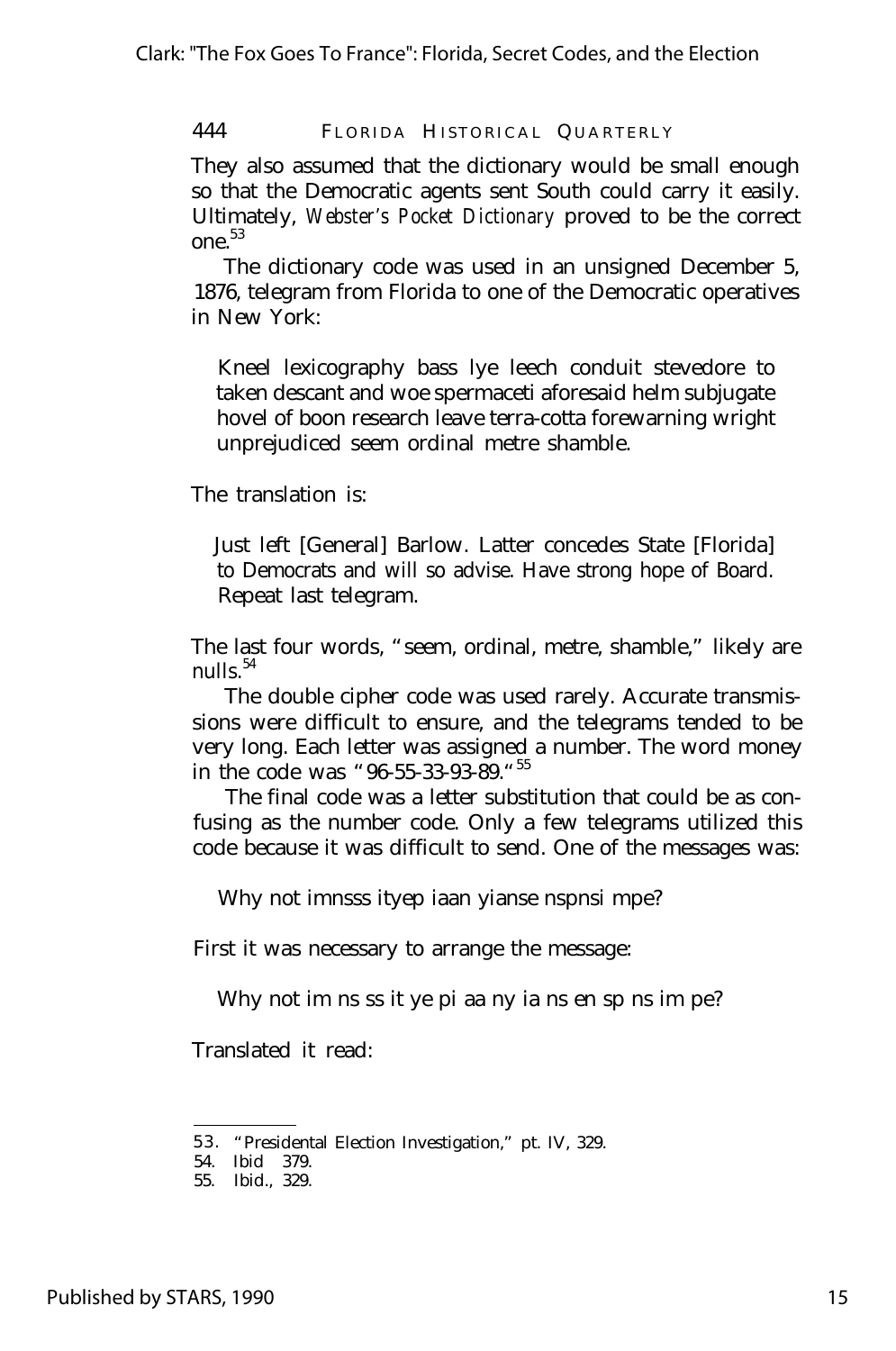They also assumed that the dictionary would be small enough so that the Democratic agents sent South could carry it easily. Ultimately, *Webster's Pocket Dictionary* proved to be the correct one.<sup>53</sup>

The dictionary code was used in an unsigned December 5, 1876, telegram from Florida to one of the Democratic operatives in New York:

Kneel lexicography bass lye leech conduit stevedore to taken descant and woe spermaceti aforesaid helm subjugate hovel of boon research leave terra-cotta forewarning wright unprejudiced seem ordinal metre shamble.

The translation is:

Just left [General] Barlow. Latter concedes State [Florida] to Democrats and will so advise. Have strong hope of Board. Repeat last telegram.

The last four words, "seem, ordinal, metre, shamble," likely are nulls $^{54}$ 

The double cipher code was used rarely. Accurate transmissions were difficult to ensure, and the telegrams tended to be very long. Each letter was assigned a number. The word money in the code was "96-55-33-93-89."<sup>55</sup>

The final code was a letter substitution that could be as confusing as the number code. Only a few telegrams utilized this code because it was difficult to send. One of the messages was:

Why not imnsss ityep iaan yianse nspnsi mpe?

First it was necessary to arrange the message:

Why not im ns ss it ye pi aa ny ia ns en sp ns im pe?

Translated it read:

<sup>5 3</sup> . "Presidental Election Investigation," pt. IV, 329.

<sup>54.</sup> Ibid 379.

<sup>55.</sup> Ibid., 329.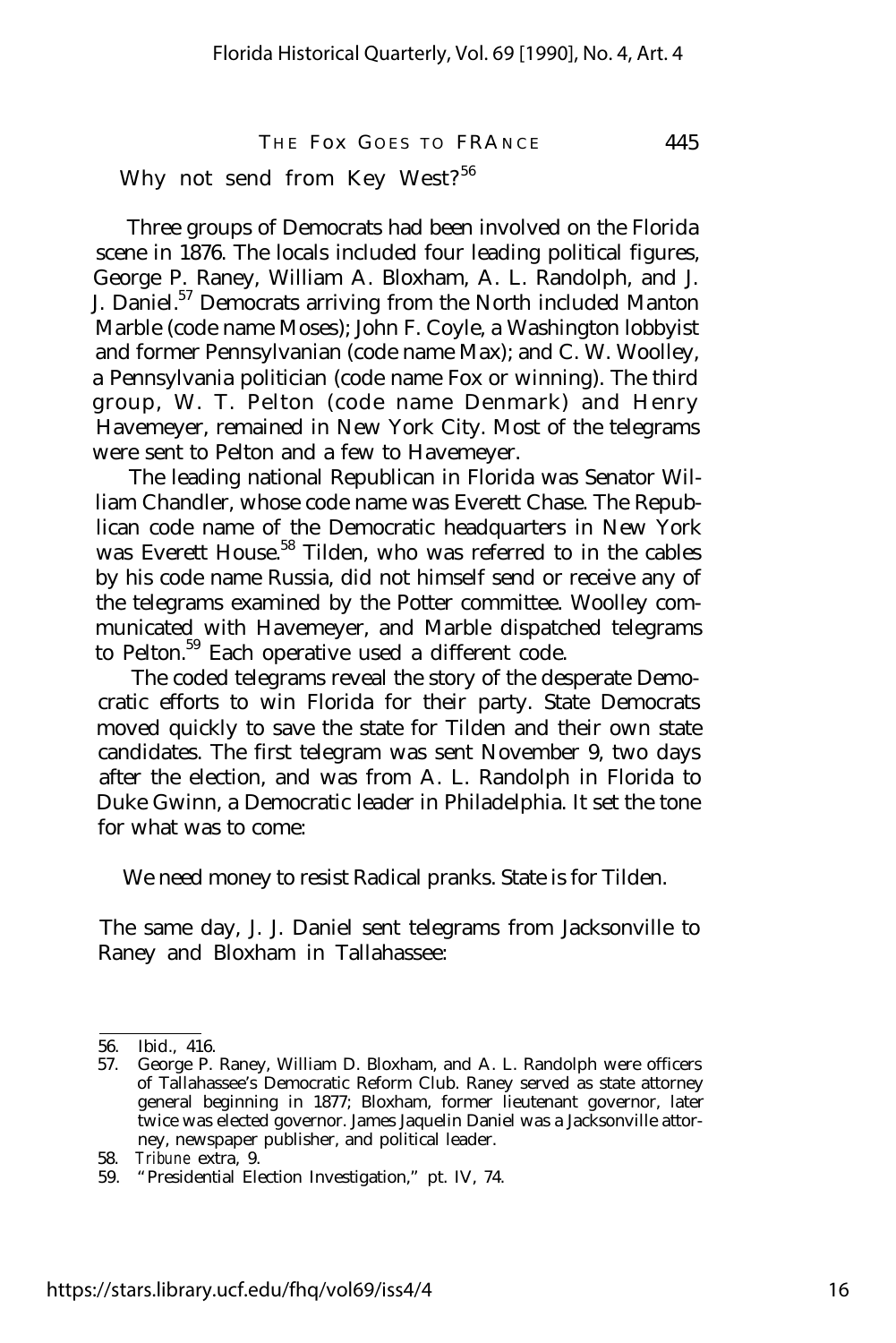Why not send from Key West?<sup>56</sup>

Three groups of Democrats had been involved on the Florida scene in 1876. The locals included four leading political figures, George P. Raney, William A. Bloxham, A. L. Randolph, and J. J. Daniel.<sup>57</sup> Democrats arriving from the North included Manton Marble (code name Moses); John F. Coyle, a Washington lobbyist and former Pennsylvanian (code name Max); and C. W. Woolley, a Pennsylvania politician (code name Fox or winning). The third group, W. T. Pelton (code name Denmark) and Henry Havemeyer, remained in New York City. Most of the telegrams were sent to Pelton and a few to Havemeyer.

The leading national Republican in Florida was Senator William Chandler, whose code name was Everett Chase. The Republican code name of the Democratic headquarters in New York was Everett House.<sup>58</sup> Tilden, who was referred to in the cables by his code name Russia, did not himself send or receive any of the telegrams examined by the Potter committee. Woolley communicated with Havemeyer, and Marble dispatched telegrams to Pelton.<sup>59</sup> Each operative used a different code.

The coded telegrams reveal the story of the desperate Democratic efforts to win Florida for their party. State Democrats moved quickly to save the state for Tilden and their own state candidates. The first telegram was sent November 9, two days after the election, and was from A. L. Randolph in Florida to Duke Gwinn, a Democratic leader in Philadelphia. It set the tone for what was to come:

We need money to resist Radical pranks. State is for Tilden.

The same day, J. J. Daniel sent telegrams from Jacksonville to Raney and Bloxham in Tallahassee:

<sup>56.</sup> Ibid., 416.

<sup>57.</sup> George P. Raney, William D. Bloxham, and A. L. Randolph were officers of Tallahassee's Democratic Reform Club. Raney served as state attorney general beginning in 1877; Bloxham, former lieutenant governor, later twice was elected governor. James Jaquelin Daniel was a Jacksonville attorney, newspaper publisher, and political leader.

<sup>58.</sup> *Tribune* extra, 9.

<sup>59.</sup> "Presidential Election Investigation," pt. IV, 74.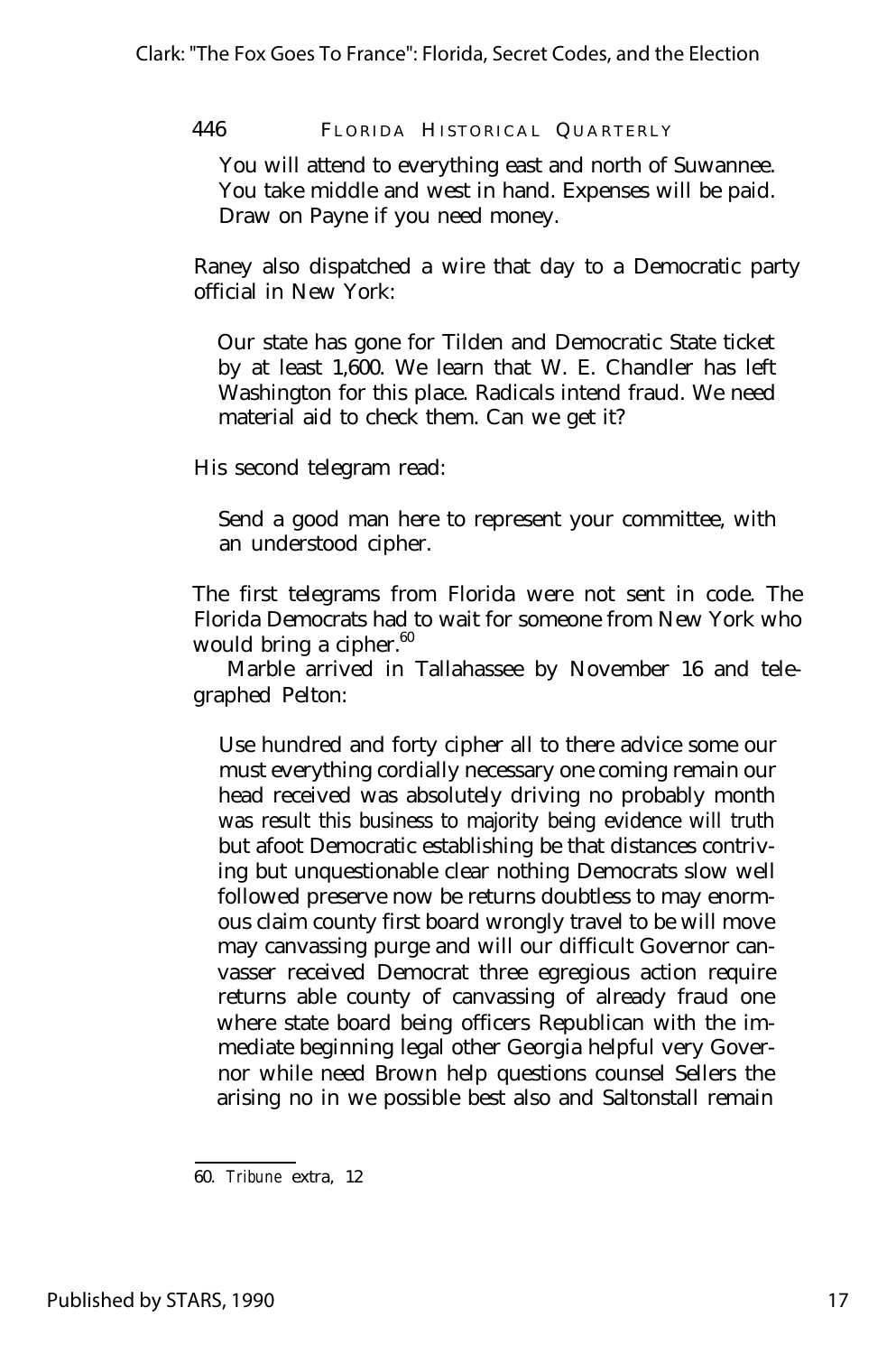You will attend to everything east and north of Suwannee. You take middle and west in hand. Expenses will be paid. Draw on Payne if you need money.

Raney also dispatched a wire that day to a Democratic party official in New York:

Our state has gone for Tilden and Democratic State ticket by at least 1,600. We learn that W. E. Chandler has left Washington for this place. Radicals intend fraud. We need material aid to check them. Can we get it?

His second telegram read:

Send a good man here to represent your committee, with an understood cipher.

The first telegrams from Florida were not sent in code. The Florida Democrats had to wait for someone from New York who would bring a cipher. $60$ 

Marble arrived in Tallahassee by November 16 and telegraphed Pelton:

Use hundred and forty cipher all to there advice some our must everything cordially necessary one coming remain our head received was absolutely driving no probably month was result this business to majority being evidence will truth but afoot Democratic establishing be that distances contriving but unquestionable clear nothing Democrats slow well followed preserve now be returns doubtless to may enormous claim county first board wrongly travel to be will move may canvassing purge and will our difficult Governor canvasser received Democrat three egregious action require returns able county of canvassing of already fraud one where state board being officers Republican with the immediate beginning legal other Georgia helpful very Governor while need Brown help questions counsel Sellers the arising no in we possible best also and Saltonstall remain

<sup>60.</sup> *Tribune* extra, 12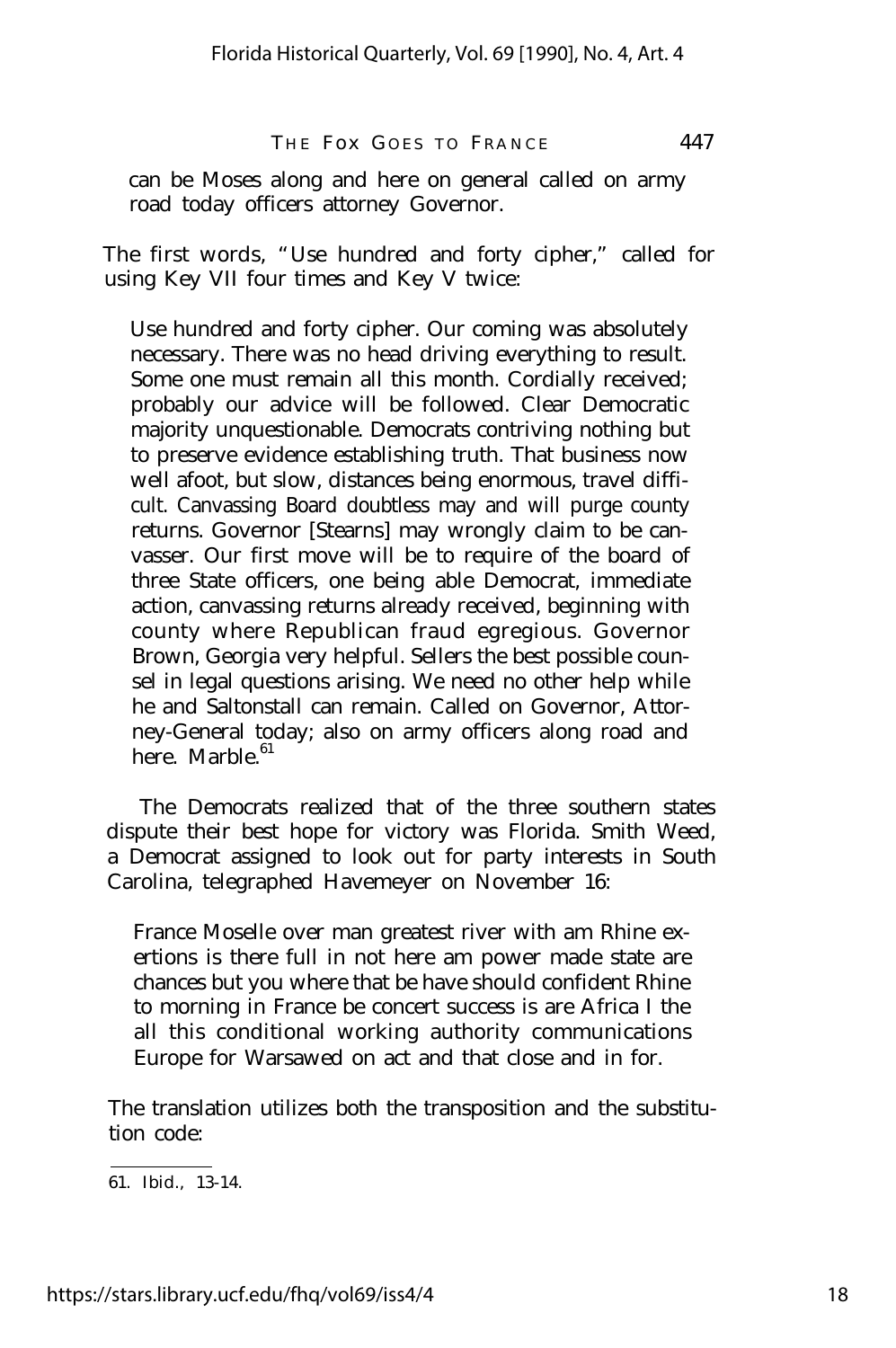can be Moses along and here on general called on army road today officers attorney Governor.

The first words, "Use hundred and forty cipher," called for using Key VII four times and Key V twice:

Use hundred and forty cipher. Our coming was absolutely necessary. There was no head driving everything to result. Some one must remain all this month. Cordially received; probably our advice will be followed. Clear Democratic majority unquestionable. Democrats contriving nothing but to preserve evidence establishing truth. That business now well afoot, but slow, distances being enormous, travel difficult. Canvassing Board doubtless may and will purge county returns. Governor [Stearns] may wrongly claim to be canvasser. Our first move will be to require of the board of three State officers, one being able Democrat, immediate action, canvassing returns already received, beginning with county where Republican fraud egregious. Governor Brown, Georgia very helpful. Sellers the best possible counsel in legal questions arising. We need no other help while he and Saltonstall can remain. Called on Governor, Attorney-General today; also on army officers along road and here. Marble  $61$ 

The Democrats realized that of the three southern states dispute their best hope for victory was Florida. Smith Weed, a Democrat assigned to look out for party interests in South Carolina, telegraphed Havemeyer on November 16:

France Moselle over man greatest river with am Rhine exertions is there full in not here am power made state are chances but you where that be have should confident Rhine to morning in France be concert success is are Africa I the all this conditional working authority communications Europe for Warsawed on act and that close and in for.

The translation utilizes both the transposition and the substitution code:

<sup>61.</sup> Ibid., 13-14.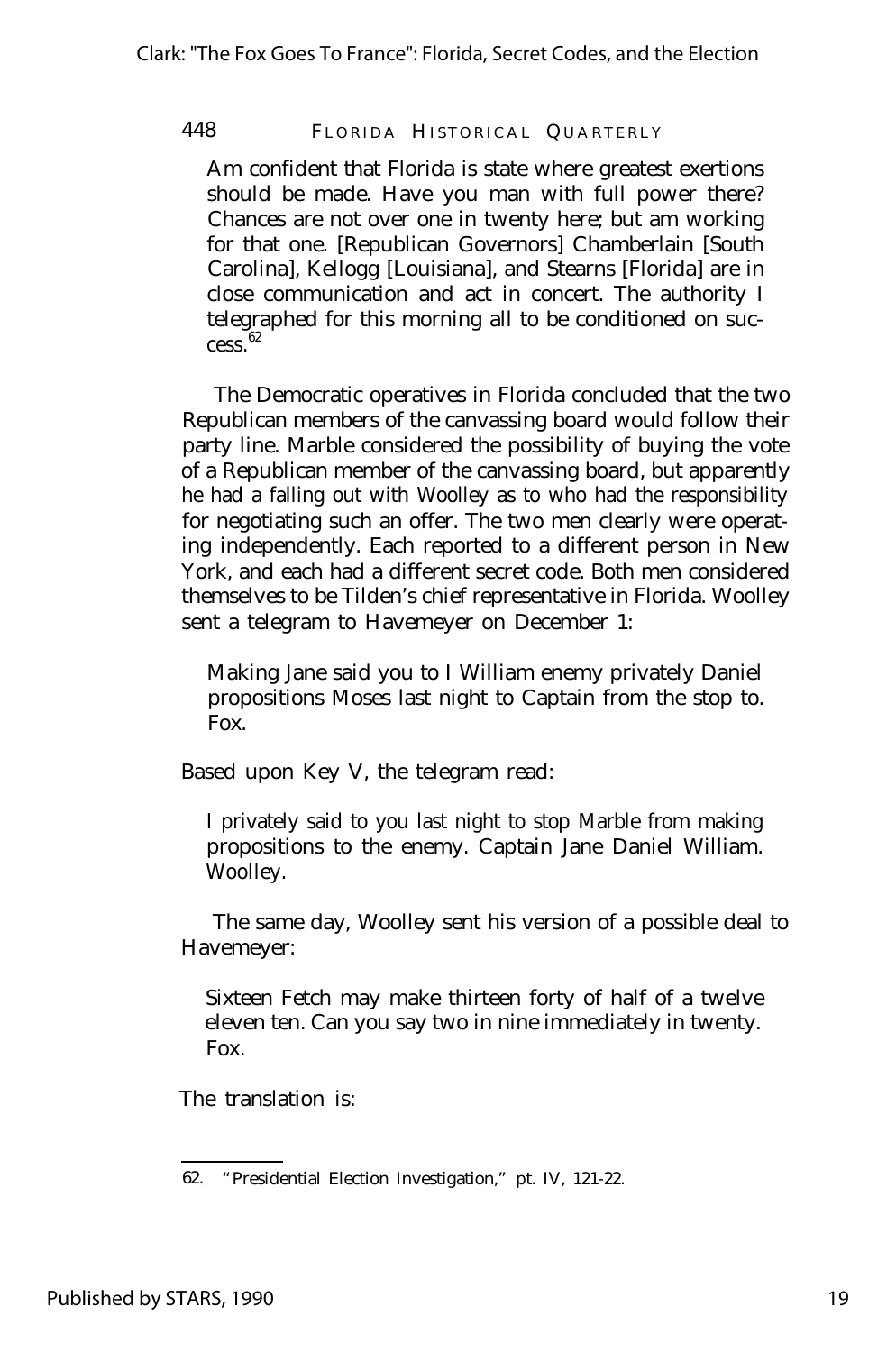Am confident that Florida is state where greatest exertions should be made. Have you man with full power there? Chances are not over one in twenty here; but am working for that one. [Republican Governors] Chamberlain [South Carolina], Kellogg [Louisiana], and Stearns [Florida] are in close communication and act in concert. The authority I telegraphed for this morning all to be conditioned on suc $cess<sup>62</sup>$ 

The Democratic operatives in Florida concluded that the two Republican members of the canvassing board would follow their party line. Marble considered the possibility of buying the vote of a Republican member of the canvassing board, but apparently he had a falling out with Woolley as to who had the responsibility for negotiating such an offer. The two men clearly were operating independently. Each reported to a different person in New York, and each had a different secret code. Both men considered themselves to be Tilden's chief representative in Florida. Woolley sent a telegram to Havemeyer on December 1:

Making Jane said you to I William enemy privately Daniel propositions Moses last night to Captain from the stop to. Fox.

Based upon Key V, the telegram read:

I privately said to you last night to stop Marble from making propositions to the enemy. Captain Jane Daniel William. Woolley.

The same day, Woolley sent his version of a possible deal to Havemeyer:

Sixteen Fetch may make thirteen forty of half of a twelve eleven ten. Can you say two in nine immediately in twenty. Fox.

The translation is:

<sup>62.</sup> "Presidential Election Investigation," pt. IV, 121-22.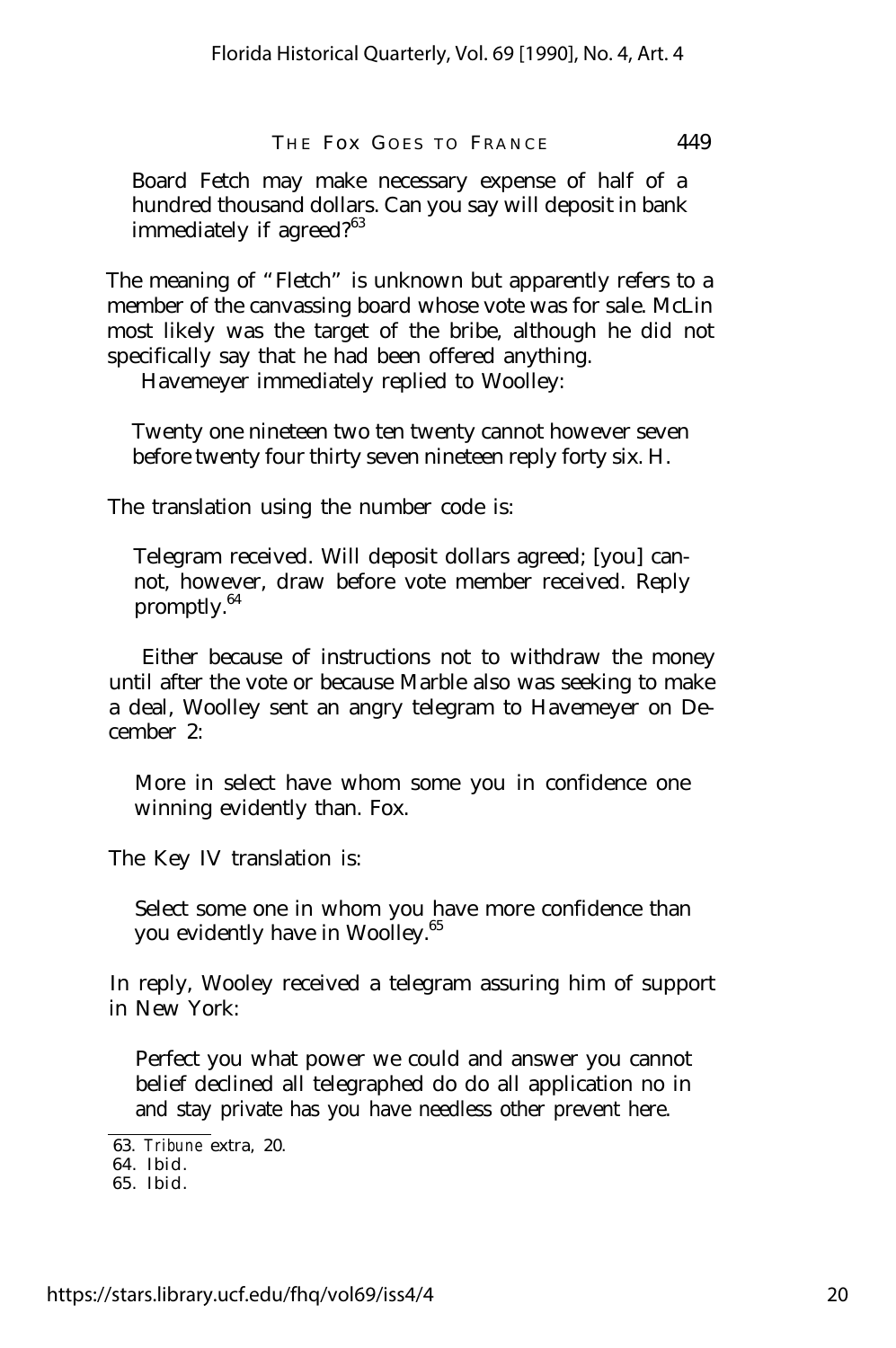Board Fetch may make necessary expense of half of a hundred thousand dollars. Can you say will deposit in bank immediately if agreed? $63$ 

The meaning of "Fletch" is unknown but apparently refers to a member of the canvassing board whose vote was for sale. McLin most likely was the target of the bribe, although he did not specifically say that he had been offered anything.

Havemeyer immediately replied to Woolley:

Twenty one nineteen two ten twenty cannot however seven before twenty four thirty seven nineteen reply forty six. H.

The translation using the number code is:

Telegram received. Will deposit dollars agreed; [you] cannot, however, draw before vote member received. Reply promptly.<sup>64</sup>

Either because of instructions not to withdraw the money until after the vote or because Marble also was seeking to make a deal, Woolley sent an angry telegram to Havemeyer on December 2:

More in select have whom some you in confidence one winning evidently than. Fox.

The Key IV translation is:

Select some one in whom you have more confidence than you evidently have in Woolley.<sup>65</sup>

In reply, Wooley received a telegram assuring him of support in New York:

Perfect you what power we could and answer you cannot belief declined all telegraphed do do all application no in and stay private has you have needless other prevent here.

<sup>63.</sup> *Tribune* extra, 20.

<sup>64.</sup> Ibid.

<sup>65.</sup> Ibid.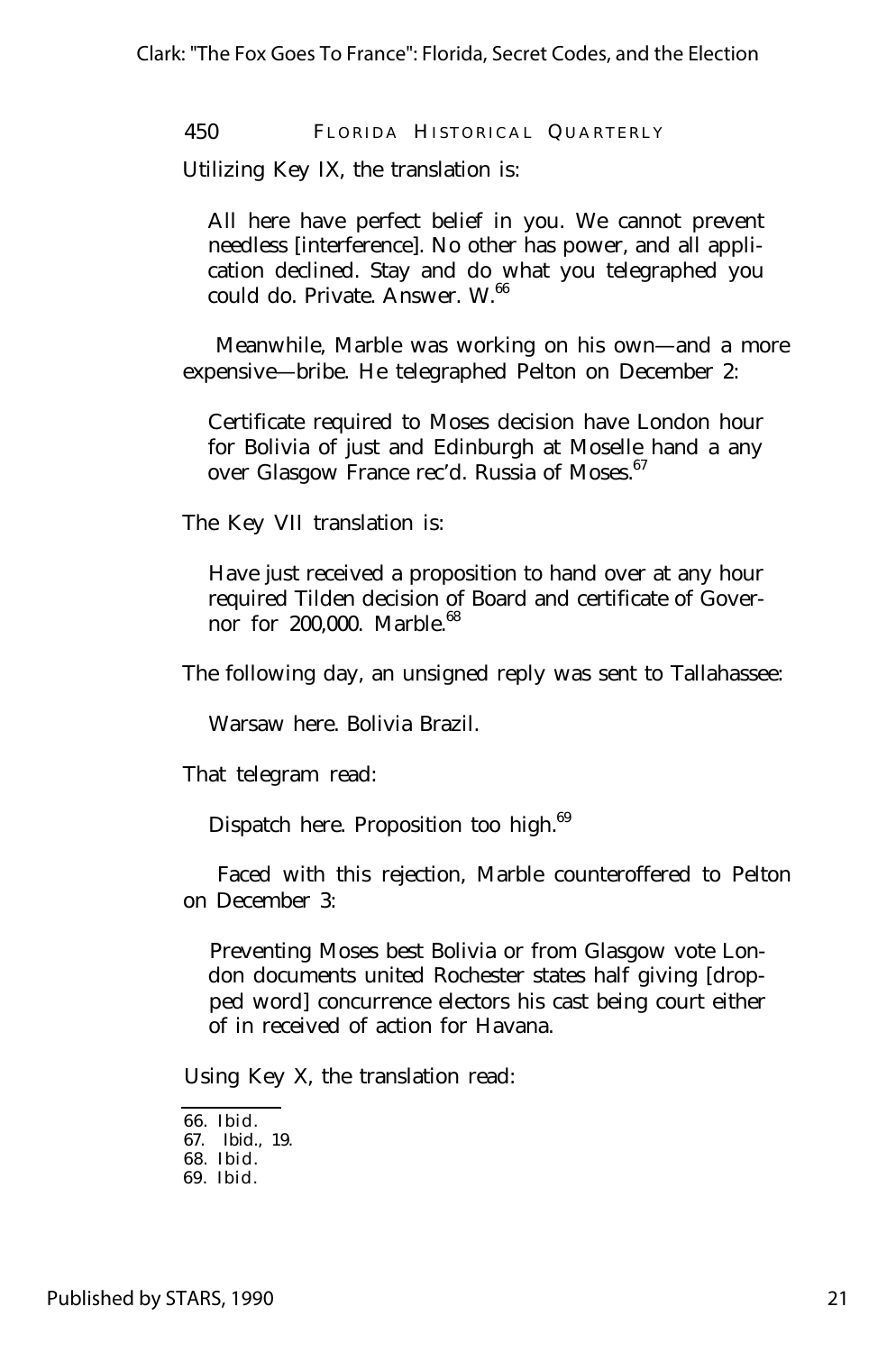Utilizing Key IX, the translation is:

All here have perfect belief in you. We cannot prevent needless [interference]. No other has power, and all application declined. Stay and do what you telegraphed you could do. Private. Answer. W.<sup>66</sup>

Meanwhile, Marble was working on his own— and a more expensive— bribe. He telegraphed Pelton on December 2:

Certificate required to Moses decision have London hour for Bolivia of just and Edinburgh at Moselle hand a any over Glasgow France rec'd. Russia of Moses.<sup>67</sup>

The Key VII translation is:

Have just received a proposition to hand over at any hour required Tilden decision of Board and certificate of Governor for 200,000. Marble.<sup>68</sup>

The following day, an unsigned reply was sent to Tallahassee:

Warsaw here. Bolivia Brazil.

That telegram read:

Dispatch here. Proposition too high.<sup>69</sup>

Faced with this rejection, Marble counteroffered to Pelton on December 3:

Preventing Moses best Bolivia or from Glasgow vote London documents united Rochester states half giving [dropped word] concurrence electors his cast being court either of in received of action for Havana.

Using Key X, the translation read:

66. Ibid.

<sup>67.</sup> Ibid., 19.

<sup>68.</sup> Ibid.

<sup>69.</sup> Ibid.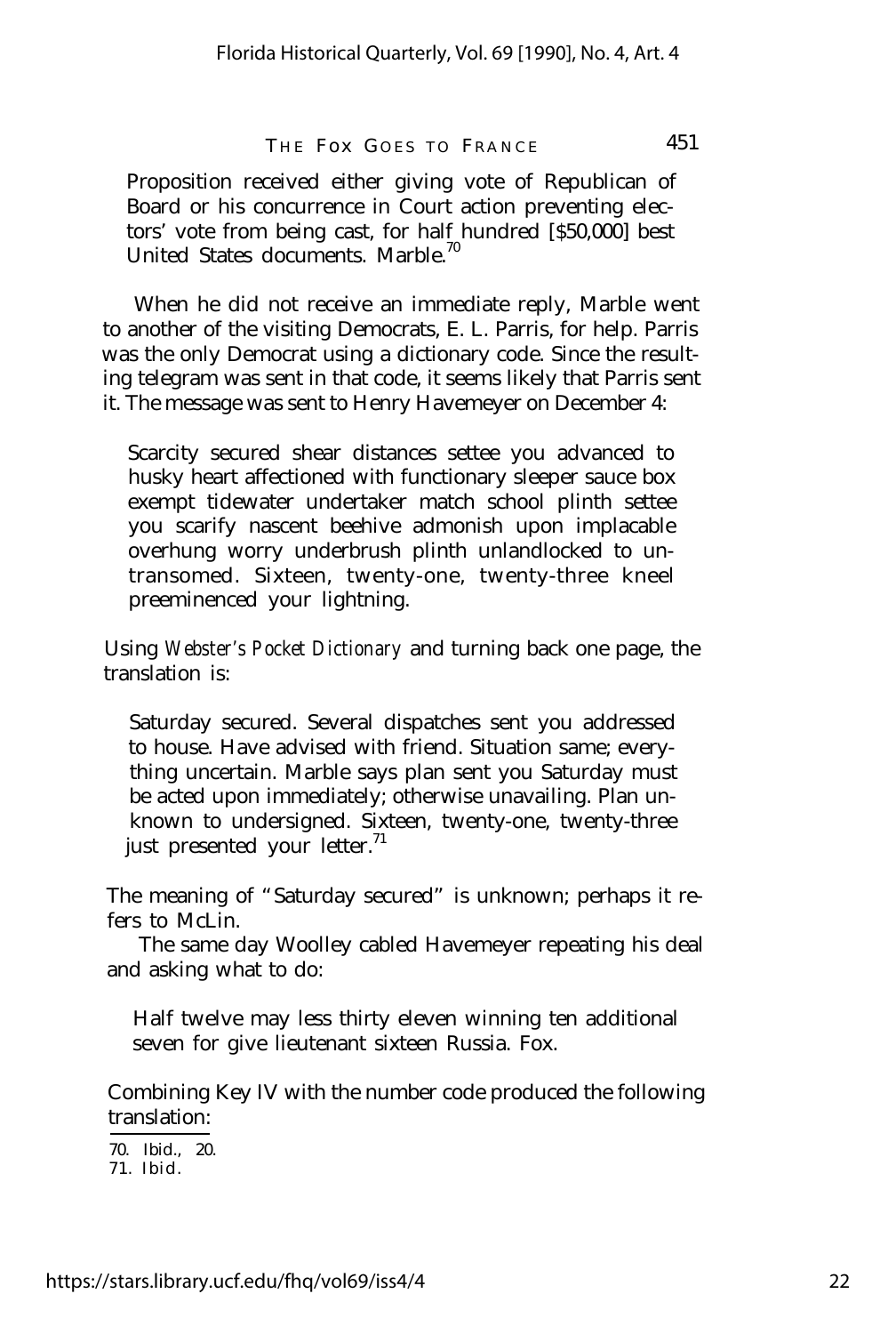Proposition received either giving vote of Republican of Board or his concurrence in Court action preventing electors' vote from being cast, for half hundred [\$50,000] best United States documents. Marble.<sup>70</sup>

When he did not receive an immediate reply, Marble went to another of the visiting Democrats, E. L. Parris, for help. Parris was the only Democrat using a dictionary code. Since the resulting telegram was sent in that code, it seems likely that Parris sent it. The message was sent to Henry Havemeyer on December 4:

Scarcity secured shear distances settee you advanced to husky heart affectioned with functionary sleeper sauce box exempt tidewater undertaker match school plinth settee you scarify nascent beehive admonish upon implacable overhung worry underbrush plinth unlandlocked to untransomed. Sixteen, twenty-one, twenty-three kneel preeminenced your lightning.

Using *Webster's Pocket Dictionary* and turning back one page, the translation is:

Saturday secured. Several dispatches sent you addressed to house. Have advised with friend. Situation same; everything uncertain. Marble says plan sent you Saturday must be acted upon immediately; otherwise unavailing. Plan unknown to undersigned. Sixteen, twenty-one, twenty-three just presented your letter.<sup>71</sup>

The meaning of "Saturday secured" is unknown; perhaps it refers to McLin.

The same day Woolley cabled Havemeyer repeating his deal and asking what to do:

Half twelve may less thirty eleven winning ten additional seven for give lieutenant sixteen Russia. Fox.

Combining Key IV with the number code produced the following translation:

71. Ibid. 70. Ibid., 20.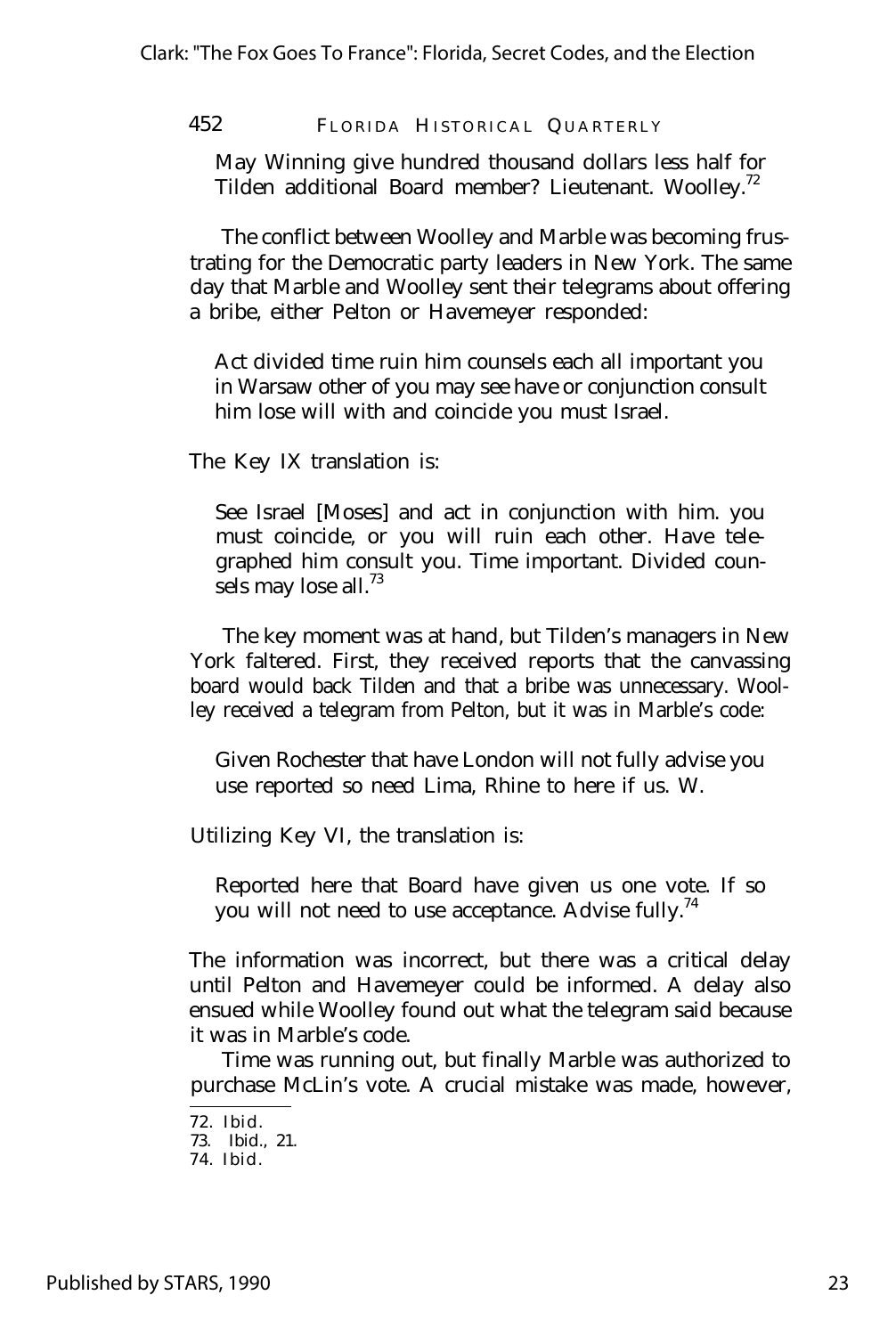May Winning give hundred thousand dollars less half for Tilden additional Board member? Lieutenant. Woolley.<sup>72</sup>

The conflict between Woolley and Marble was becoming frustrating for the Democratic party leaders in New York. The same day that Marble and Woolley sent their telegrams about offering a bribe, either Pelton or Havemeyer responded:

Act divided time ruin him counsels each all important you in Warsaw other of you may see have or conjunction consult him lose will with and coincide you must Israel.

The Key IX translation is:

See Israel [Moses] and act in conjunction with him. you must coincide, or you will ruin each other. Have telegraphed him consult you. Time important. Divided counsels may lose all. $^{73}$ 

The key moment was at hand, but Tilden's managers in New York faltered. First, they received reports that the canvassing board would back Tilden and that a bribe was unnecessary. Woolley received a telegram from Pelton, but it was in Marble's code:

Given Rochester that have London will not fully advise you use reported so need Lima, Rhine to here if us. W.

Utilizing Key VI, the translation is:

Reported here that Board have given us one vote. If so you will not need to use acceptance. Advise fully.<sup>74</sup>

The information was incorrect, but there was a critical delay until Pelton and Havemeyer could be informed. A delay also ensued while Woolley found out what the telegram said because it was in Marble's code.

Time was running out, but finally Marble was authorized to purchase McLin's vote. A crucial mistake was made, however,

<sup>72.</sup> Ibid.

<sup>73.</sup> Ibid., 21.

<sup>74.</sup> Ibid.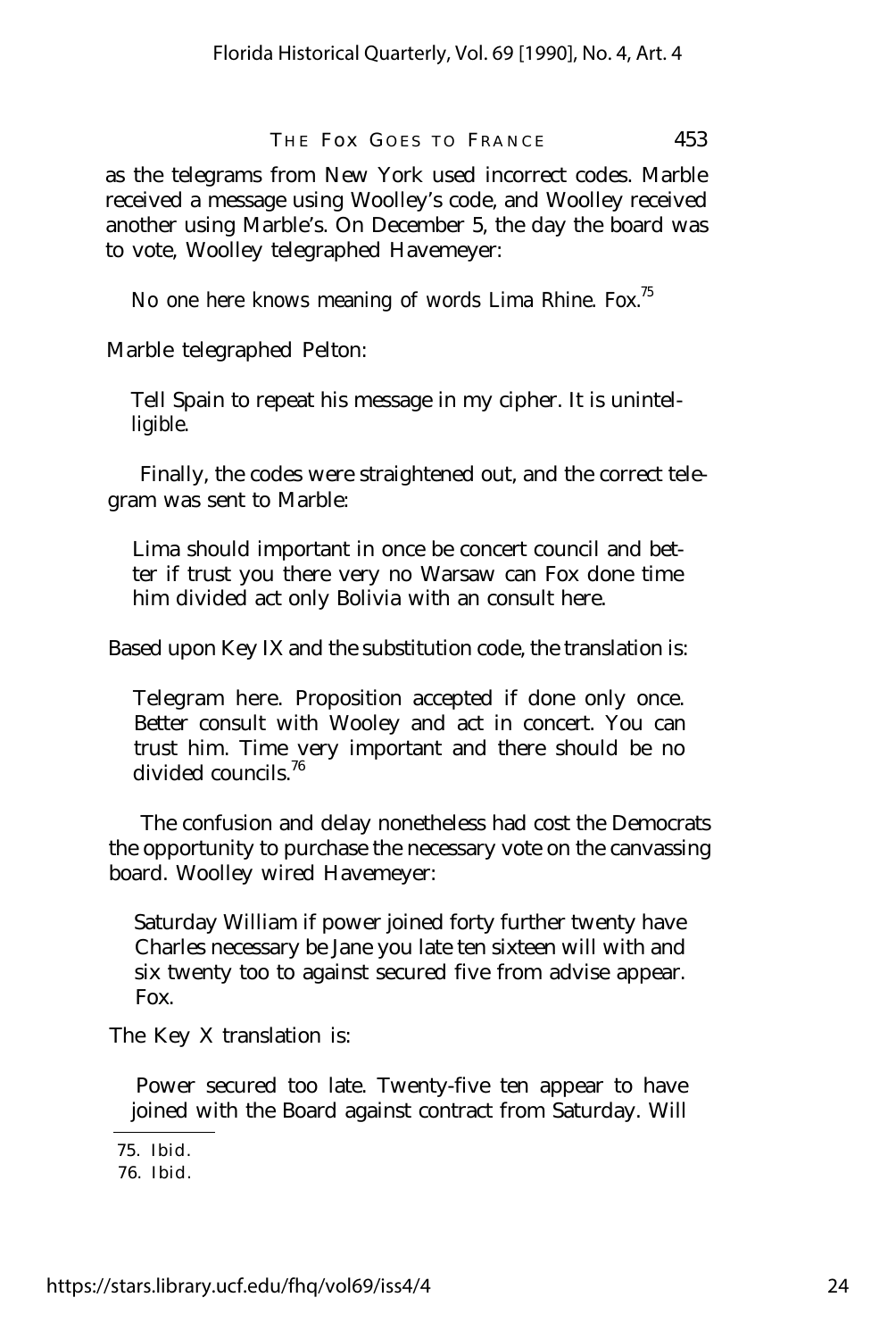as the telegrams from New York used incorrect codes. Marble received a message using Woolley's code, and Woolley received another using Marble's. On December 5, the day the board was to vote, Woolley telegraphed Havemeyer:

No one here knows meaning of words Lima Rhine. Fox.<sup>75</sup>

Marble telegraphed Pelton:

Tell Spain to repeat his message in my cipher. It is unintelligible.

Finally, the codes were straightened out, and the correct telegram was sent to Marble:

Lima should important in once be concert council and better if trust you there very no Warsaw can Fox done time him divided act only Bolivia with an consult here.

Based upon Key IX and the substitution code, the translation is:

Telegram here. Proposition accepted if done only once. Better consult with Wooley and act in concert. You can trust him. Time very important and there should be no divided councils.<sup>76</sup>

The confusion and delay nonetheless had cost the Democrats the opportunity to purchase the necessary vote on the canvassing board. Woolley wired Havemeyer:

Saturday William if power joined forty further twenty have Charles necessary be Jane you late ten sixteen will with and six twenty too to against secured five from advise appear. Fox.

The Key X translation is:

Power secured too late. Twenty-five ten appear to have joined with the Board against contract from Saturday. Will

<sup>75.</sup> Ibid.

<sup>76.</sup> Ibid.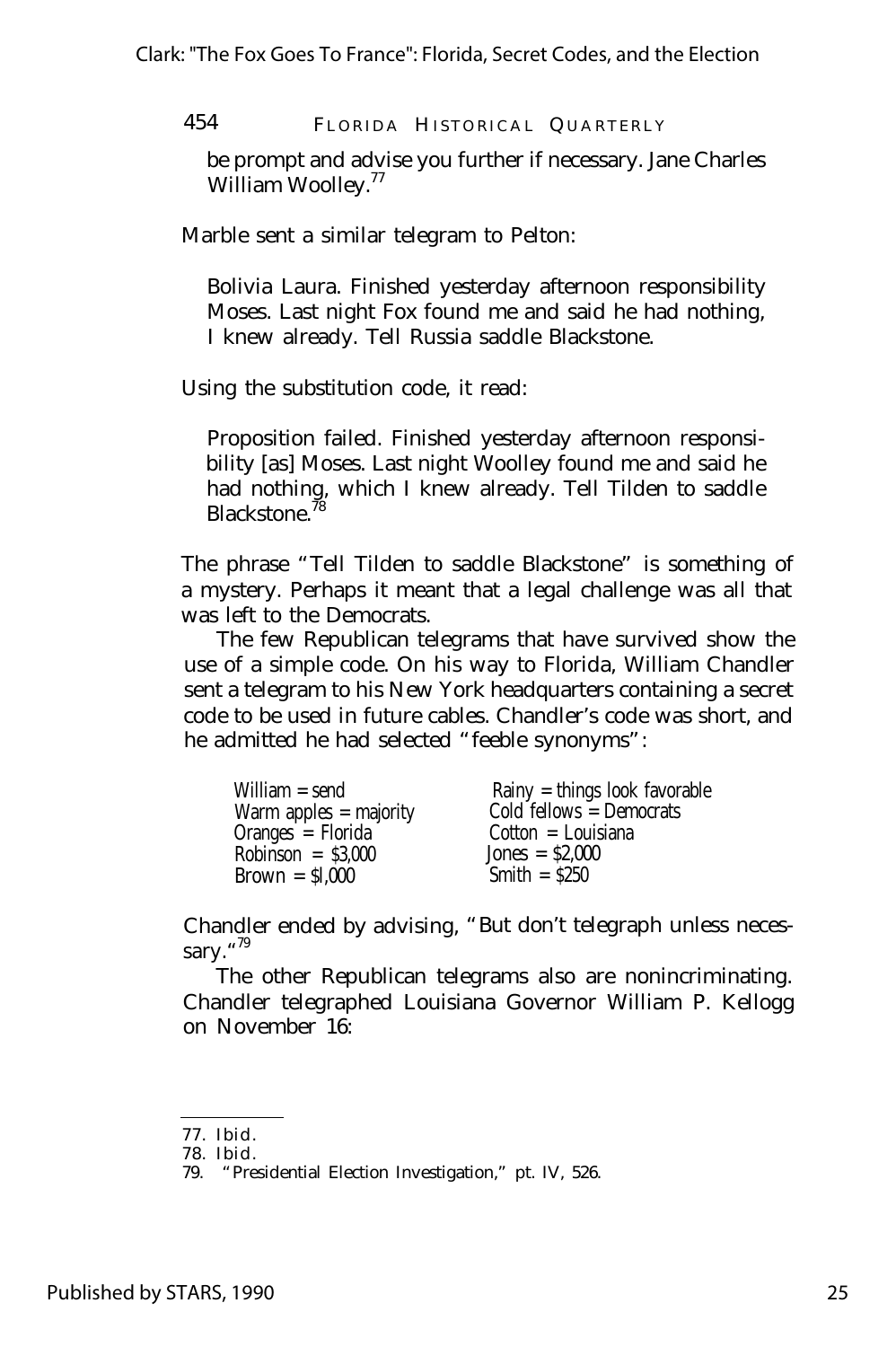be prompt and advise you further if necessary. Jane Charles William Woolley.<sup>77</sup>

Marble sent a similar telegram to Pelton:

Bolivia Laura. Finished yesterday afternoon responsibility Moses. Last night Fox found me and said he had nothing, I knew already. Tell Russia saddle Blackstone.

Using the substitution code, it read:

Proposition failed. Finished yesterday afternoon responsibility [as] Moses. Last night Woolley found me and said he had nothing, which I knew already. Tell Tilden to saddle Blackstone.

The phrase "Tell Tilden to saddle Blackstone" is something of a mystery. Perhaps it meant that a legal challenge was all that was left to the Democrats.

The few Republican telegrams that have survived show the use of a simple code. On his way to Florida, William Chandler sent a telegram to his New York headquarters containing a secret code to be used in future cables. Chandler's code was short, and he admitted he had selected "feeble synonyms":

| William = send           | Rainy $=$ things look favorable |
|--------------------------|---------------------------------|
| Warm apples $=$ majority | Cold fellows $=$ Democrats      |
| Oranges $\angle$ Florida | $Cotton = Louisiana$            |
| $Robinson = $3.000$      | $Jones = $2.000$                |
| $Brown = $1,000$         | Smith $=$ \$250                 |

Chandler ended by advising, "But don't telegraph unless necessary."<sup>79</sup>

The other Republican telegrams also are nonincriminating. Chandler telegraphed Louisiana Governor William P. Kellogg on November 16:

<sup>77.</sup> Ibid.

<sup>78.</sup> Ibid.

<sup>79.</sup> "Presidential Election Investigation," pt. IV, 526.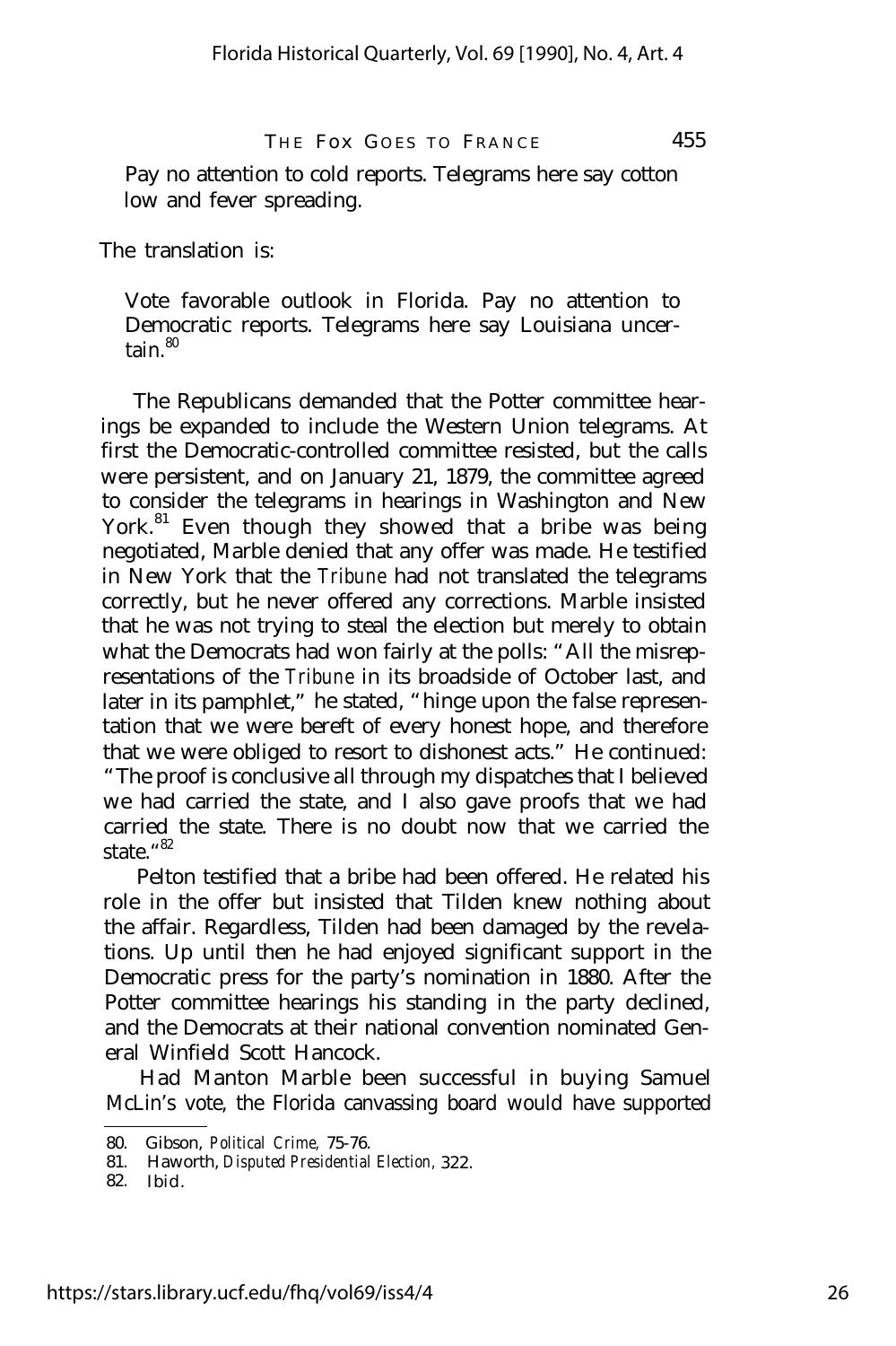Pay no attention to cold reports. Telegrams here say cotton low and fever spreading.

The translation is:

Vote favorable outlook in Florida. Pay no attention to Democratic reports. Telegrams here say Louisiana uncertain. $80$ 

The Republicans demanded that the Potter committee hearings be expanded to include the Western Union telegrams. At first the Democratic-controlled committee resisted, but the calls were persistent, and on January 21, 1879, the committee agreed to consider the telegrams in hearings in Washington and New York. $81$  Even though they showed that a bribe was being negotiated, Marble denied that any offer was made. He testified in New York that the *Tribune* had not translated the telegrams correctly, but he never offered any corrections. Marble insisted that he was not trying to steal the election but merely to obtain what the Democrats had won fairly at the polls: "All the misrepresentations of the *Tribune* in its broadside of October last, and later in its pamphlet," he stated, "hinge upon the false representation that we were bereft of every honest hope, and therefore that we were obliged to resort to dishonest acts." He continued: "The proof is conclusive all through my dispatches that I believed we had carried the state, and I also gave proofs that we had carried the state. There is no doubt now that we carried the state." 82

Pelton testified that a bribe had been offered. He related his role in the offer but insisted that Tilden knew nothing about the affair. Regardless, Tilden had been damaged by the revelations. Up until then he had enjoyed significant support in the Democratic press for the party's nomination in 1880. After the Potter committee hearings his standing in the party declined, and the Democrats at their national convention nominated General Winfield Scott Hancock.

Had Manton Marble been successful in buying Samuel McLin's vote, the Florida canvassing board would have supported

<sup>80.</sup> Gibson, *Political Crime,* 75-76.

<sup>81.</sup> Haworth, *Disputed Presidential Election,* 322.

<sup>82.</sup> Ibid.